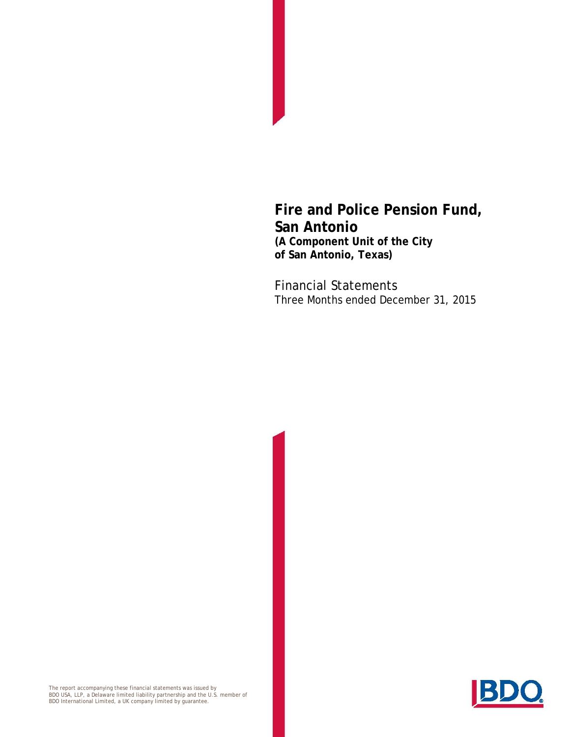Financial Statements Three Months ended December 31, 2015



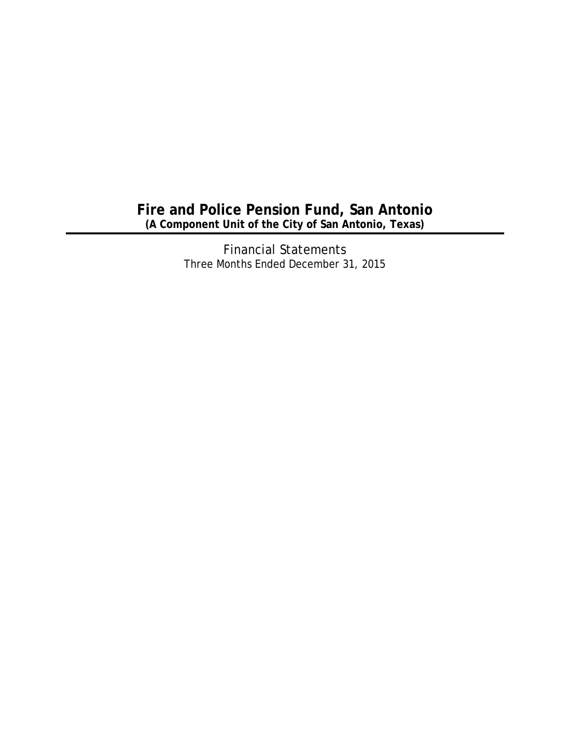Financial Statements Three Months Ended December 31, 2015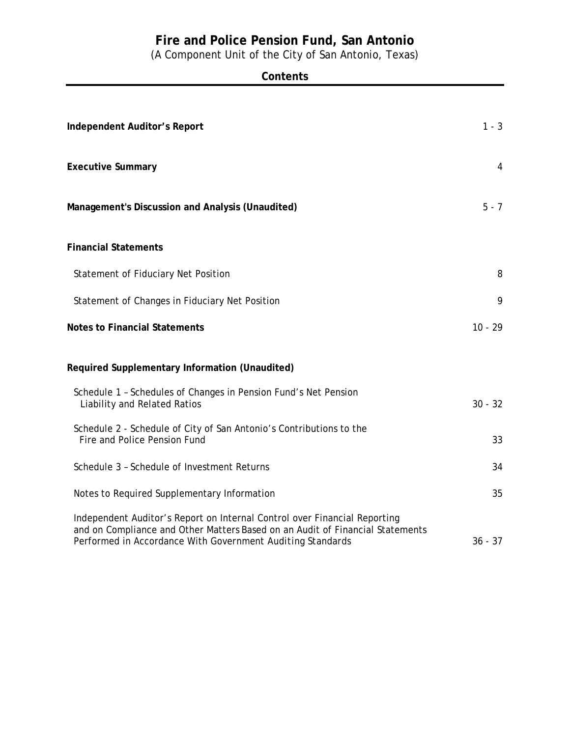## **Fire and Police Pension Fund, San Antonio**

(A Component Unit of the City of San Antonio, Texas)

| Independent Auditor's Report                                                                                                                                                                                             | $1 - 3$   |
|--------------------------------------------------------------------------------------------------------------------------------------------------------------------------------------------------------------------------|-----------|
| <b>Executive Summary</b>                                                                                                                                                                                                 | 4         |
| Management's Discussion and Analysis (Unaudited)                                                                                                                                                                         | $5 - 7$   |
| <b>Financial Statements</b>                                                                                                                                                                                              |           |
| Statement of Fiduciary Net Position                                                                                                                                                                                      | 8         |
| Statement of Changes in Fiduciary Net Position                                                                                                                                                                           | 9         |
| <b>Notes to Financial Statements</b>                                                                                                                                                                                     | $10 - 29$ |
| Required Supplementary Information (Unaudited)                                                                                                                                                                           |           |
| Schedule 1 - Schedules of Changes in Pension Fund's Net Pension<br>Liability and Related Ratios                                                                                                                          | $30 - 32$ |
| Schedule 2 - Schedule of City of San Antonio's Contributions to the<br>Fire and Police Pension Fund                                                                                                                      | 33        |
| Schedule 3 - Schedule of Investment Returns                                                                                                                                                                              | 34        |
| Notes to Required Supplementary Information                                                                                                                                                                              | 35        |
| Independent Auditor's Report on Internal Control over Financial Reporting<br>and on Compliance and Other Matters Based on an Audit of Financial Statements<br>Performed in Accordance With Government Auditing Standards | $36 - 37$ |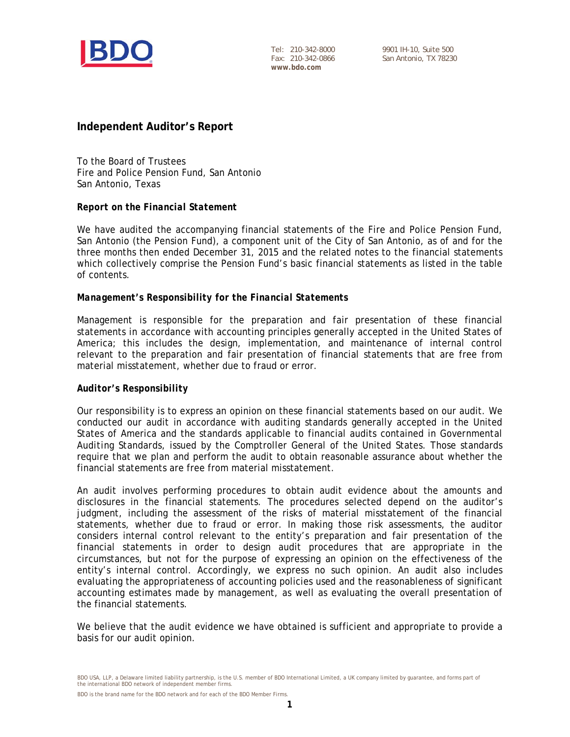

Tel: 210-342-8000 Fax: 210-342-0866 **www.bdo.com** 

9901 IH-10, Suite 500 San Antonio, TX 78230

## **Independent Auditor's Report**

 $\overline{a}$ To the Board of Trustees Fire and Police Pension Fund, San Antonio San Antonio, Texas

#### *Report on the Financial Statement*

We have audited the accompanying financial statements of the Fire and Police Pension Fund, San Antonio (the Pension Fund), a component unit of the City of San Antonio, as of and for the three months then ended December 31, 2015 and the related notes to the financial statements which collectively comprise the Pension Fund's basic financial statements as listed in the table of contents.

#### *Management's Responsibility for the Financial Statements*

Management is responsible for the preparation and fair presentation of these financial statements in accordance with accounting principles generally accepted in the United States of America; this includes the design, implementation, and maintenance of internal control relevant to the preparation and fair presentation of financial statements that are free from material misstatement, whether due to fraud or error.

#### *Auditor's Responsibility*

Our responsibility is to express an opinion on these financial statements based on our audit. We conducted our audit in accordance with auditing standards generally accepted in the United States of America and the standards applicable to financial audits contained in *Governmental Auditing Standards*, issued by the Comptroller General of the United States. Those standards require that we plan and perform the audit to obtain reasonable assurance about whether the financial statements are free from material misstatement.

An audit involves performing procedures to obtain audit evidence about the amounts and disclosures in the financial statements. The procedures selected depend on the auditor's judgment, including the assessment of the risks of material misstatement of the financial statements, whether due to fraud or error. In making those risk assessments, the auditor considers internal control relevant to the entity's preparation and fair presentation of the financial statements in order to design audit procedures that are appropriate in the circumstances, but not for the purpose of expressing an opinion on the effectiveness of the entity's internal control. Accordingly, we express no such opinion. An audit also includes evaluating the appropriateness of accounting policies used and the reasonableness of significant accounting estimates made by management, as well as evaluating the overall presentation of the financial statements.

We believe that the audit evidence we have obtained is sufficient and appropriate to provide a basis for our audit opinion.

BDO USA, LLP, a Delaware limited liability partnership, is the U.S. member of BDO International Limited, a UK company limited by guarantee, and forms part of the international BDO network of independent member firms.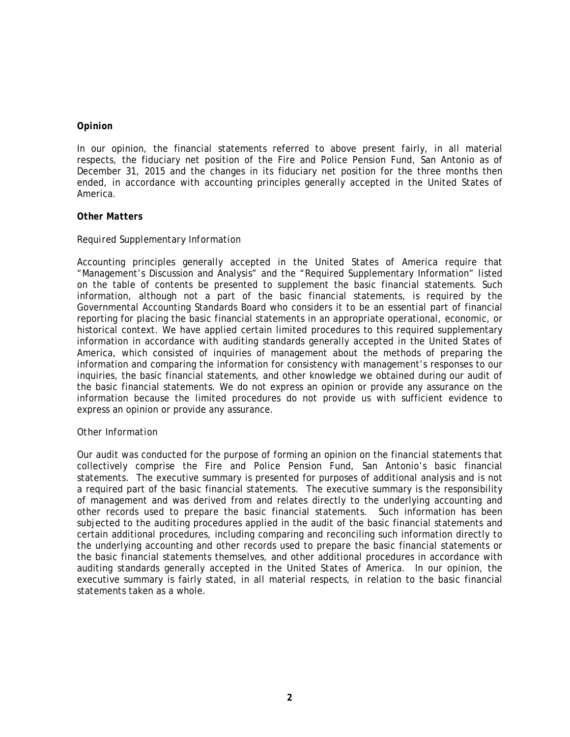### *Opinion*

In our opinion, the financial statements referred to above present fairly, in all material respects, the fiduciary net position of the Fire and Police Pension Fund, San Antonio as of December 31, 2015 and the changes in its fiduciary net position for the three months then ended, in accordance with accounting principles generally accepted in the United States of America.

#### *Other Matters*

#### *Required Supplementary Information*

Accounting principles generally accepted in the United States of America require that "Management's Discussion and Analysis" and the "Required Supplementary Information" listed on the table of contents be presented to supplement the basic financial statements. Such information, although not a part of the basic financial statements, is required by the Governmental Accounting Standards Board who considers it to be an essential part of financial reporting for placing the basic financial statements in an appropriate operational, economic, or historical context. We have applied certain limited procedures to this required supplementary information in accordance with auditing standards generally accepted in the United States of America, which consisted of inquiries of management about the methods of preparing the information and comparing the information for consistency with management's responses to our inquiries, the basic financial statements, and other knowledge we obtained during our audit of the basic financial statements. We do not express an opinion or provide any assurance on the information because the limited procedures do not provide us with sufficient evidence to express an opinion or provide any assurance.

#### *Other Information*

Our audit was conducted for the purpose of forming an opinion on the financial statements that collectively comprise the Fire and Police Pension Fund, San Antonio's basic financial statements. The executive summary is presented for purposes of additional analysis and is not a required part of the basic financial statements. The executive summary is the responsibility of management and was derived from and relates directly to the underlying accounting and other records used to prepare the basic financial statements. Such information has been subjected to the auditing procedures applied in the audit of the basic financial statements and certain additional procedures, including comparing and reconciling such information directly to the underlying accounting and other records used to prepare the basic financial statements or the basic financial statements themselves, and other additional procedures in accordance with auditing standards generally accepted in the United States of America. In our opinion, the executive summary is fairly stated, in all material respects, in relation to the basic financial statements taken as a whole.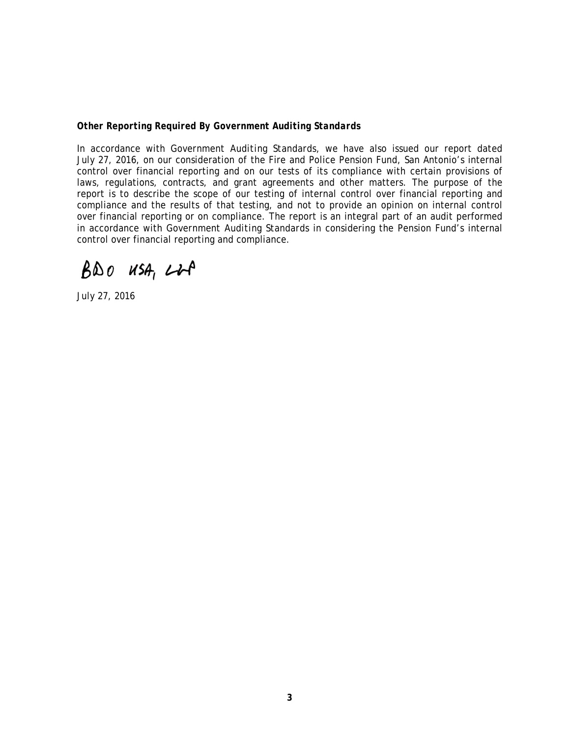## *Other Reporting Required By Government Auditing Standards*

In accordance with *Government Auditing Standards*, we have also issued our report dated July 27, 2016, on our consideration of the Fire and Police Pension Fund, San Antonio's internal control over financial reporting and on our tests of its compliance with certain provisions of laws, regulations, contracts, and grant agreements and other matters. The purpose of the report is to describe the scope of our testing of internal control over financial reporting and compliance and the results of that testing, and not to provide an opinion on internal control over financial reporting or on compliance. The report is an integral part of an audit performed in accordance with *Government Auditing Standards* in considering the Pension Fund's internal control over financial reporting and compliance.

 $BDO$   $USA, LPA$ 

July 27, 2016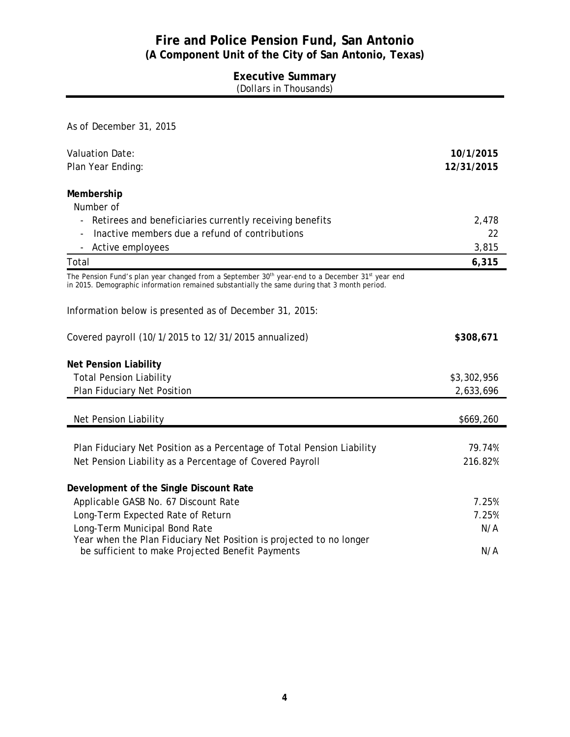## **Executive Summary** (Dollars in Thousands)

*As of December 31, 2015*

| <b>Valuation Date:</b><br>Plan Year Ending:                                                                                                                                                                             | 10/1/2015<br>12/31/2015 |
|-------------------------------------------------------------------------------------------------------------------------------------------------------------------------------------------------------------------------|-------------------------|
| Membership                                                                                                                                                                                                              |                         |
| Number of                                                                                                                                                                                                               |                         |
| - Retirees and beneficiaries currently receiving benefits                                                                                                                                                               | 2,478                   |
| Inactive members due a refund of contributions                                                                                                                                                                          | 22                      |
| Active employees                                                                                                                                                                                                        | 3,815                   |
| Total                                                                                                                                                                                                                   | 6,315                   |
| The Pension Fund's plan year changed from a September 30 <sup>th</sup> year-end to a December 31 <sup>st</sup> year end<br>in 2015. Demographic information remained substantially the same during that 3 month period. |                         |
| Information below is presented as of December 31, 2015:                                                                                                                                                                 |                         |
| Covered payroll (10/1/2015 to 12/31/2015 annualized)                                                                                                                                                                    | \$308,671               |
| <b>Net Pension Liability</b>                                                                                                                                                                                            |                         |
| <b>Total Pension Liability</b>                                                                                                                                                                                          | \$3,302,956             |
| Plan Fiduciary Net Position                                                                                                                                                                                             | 2,633,696               |
|                                                                                                                                                                                                                         |                         |
| Net Pension Liability                                                                                                                                                                                                   | \$669,260               |
|                                                                                                                                                                                                                         |                         |
| Plan Fiduciary Net Position as a Percentage of Total Pension Liability                                                                                                                                                  | 79.74%                  |
| Net Pension Liability as a Percentage of Covered Payroll                                                                                                                                                                | 216.82%                 |
| Development of the Single Discount Rate                                                                                                                                                                                 |                         |
| Applicable GASB No. 67 Discount Rate                                                                                                                                                                                    | 7.25%                   |
| Long-Term Expected Rate of Return                                                                                                                                                                                       | 7.25%                   |
| Long-Term Municipal Bond Rate                                                                                                                                                                                           | N/A                     |
| Year when the Plan Fiduciary Net Position is projected to no longer                                                                                                                                                     |                         |
| be sufficient to make Projected Benefit Payments                                                                                                                                                                        | N/A                     |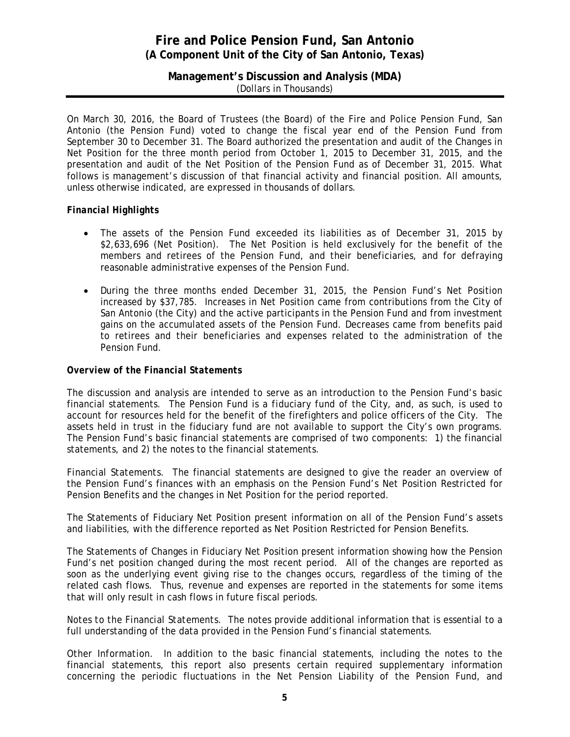**Management's Discussion and Analysis (MDA)** (Dollars in Thousands)

On March 30, 2016, the Board of Trustees (the Board) of the Fire and Police Pension Fund, San Antonio (the Pension Fund) voted to change the fiscal year end of the Pension Fund from September 30 to December 31. The Board authorized the presentation and audit of the Changes in Net Position for the three month period from October 1, 2015 to December 31, 2015, and the presentation and audit of the Net Position of the Pension Fund as of December 31, 2015. What follows is management's discussion of that financial activity and financial position. All amounts, unless otherwise indicated, are expressed in thousands of dollars.

### *Financial Highlights*

- The assets of the Pension Fund exceeded its liabilities as of December 31, 2015 by \$2,633,696 (Net Position). The Net Position is held exclusively for the benefit of the members and retirees of the Pension Fund, and their beneficiaries, and for defraying reasonable administrative expenses of the Pension Fund.
- During the three months ended December 31, 2015, the Pension Fund's Net Position increased by \$37,785. Increases in Net Position came from contributions from the City of San Antonio (the City) and the active participants in the Pension Fund and from investment gains on the accumulated assets of the Pension Fund. Decreases came from benefits paid to retirees and their beneficiaries and expenses related to the administration of the Pension Fund.

#### *Overview of the Financial Statements*

The discussion and analysis are intended to serve as an introduction to the Pension Fund's basic financial statements. The Pension Fund is a *fiduciary fund* of the City, and, as such, is used to account for resources held for the benefit of the firefighters and police officers of the City. The assets held in trust in the fiduciary fund are not available to support the City's own programs. The Pension Fund's basic financial statements are comprised of two components: 1) the financial statements, and 2) the notes to the financial statements.

*Financial Statements.* The financial statements are designed to give the reader an overview of the Pension Fund's finances with an emphasis on the Pension Fund's Net Position Restricted for Pension Benefits and the changes in Net Position for the period reported.

The Statements of Fiduciary Net Position present information on all of the Pension Fund's assets and liabilities, with the difference reported as Net Position Restricted for Pension Benefits.

The Statements of Changes in Fiduciary Net Position present information showing how the Pension Fund's net position changed during the most recent period. All of the changes are reported as soon as the underlying event giving rise to the changes occurs, regardless of the timing of the related cash flows. Thus, revenue and expenses are reported in the statements for some items that will only result in cash flows in future fiscal periods.

*Notes to the Financial Statements.* The notes provide additional information that is essential to a full understanding of the data provided in the Pension Fund's financial statements.

*Other Information.* In addition to the basic financial statements, including the notes to the financial statements, this report also presents certain required supplementary information concerning the periodic fluctuations in the Net Pension Liability of the Pension Fund, and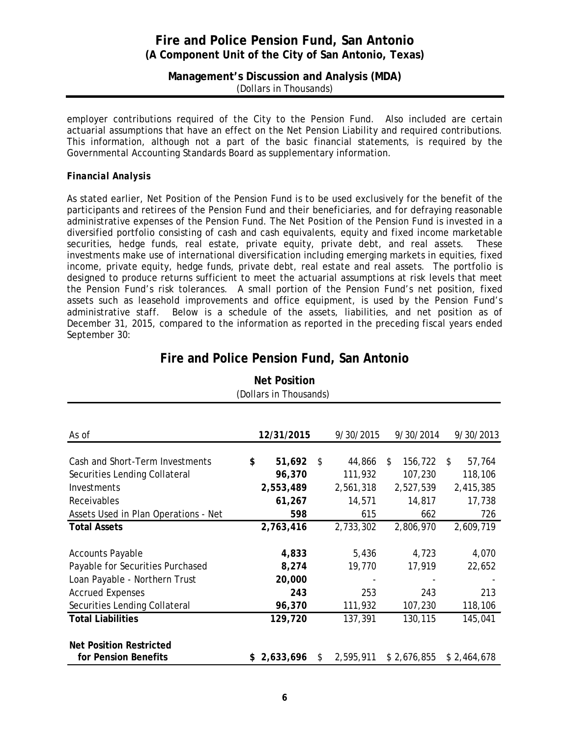## **Management's Discussion and Analysis (MDA)** (Dollars in Thousands)

employer contributions required of the City to the Pension Fund. Also included are certain actuarial assumptions that have an effect on the Net Pension Liability and required contributions. This information, although not a part of the basic financial statements, is required by the Governmental Accounting Standards Board as supplementary information.

### *Financial Analysis*

As stated earlier, Net Position of the Pension Fund is to be used exclusively for the benefit of the participants and retirees of the Pension Fund and their beneficiaries, and for defraying reasonable administrative expenses of the Pension Fund. The Net Position of the Pension Fund is invested in a diversified portfolio consisting of cash and cash equivalents, equity and fixed income marketable securities, hedge funds, real estate, private equity, private debt, and real assets. These investments make use of international diversification including emerging markets in equities, fixed income, private equity, hedge funds, private debt, real estate and real assets. The portfolio is designed to produce returns sufficient to meet the actuarial assumptions at risk levels that meet the Pension Fund's risk tolerances. A small portion of the Pension Fund's net position, fixed assets such as leasehold improvements and office equipment, is used by the Pension Fund's administrative staff. Below is a schedule of the assets, liabilities, and net position as of December 31, 2015, compared to the information as reported in the preceding fiscal years ended September 30:

| (Dollars in Thousands)               |                 |    |           |               |              |
|--------------------------------------|-----------------|----|-----------|---------------|--------------|
|                                      |                 |    |           |               |              |
| As of                                | 12/31/2015      |    | 9/30/2015 | 9/30/2014     | 9/30/2013    |
|                                      |                 |    |           |               |              |
| Cash and Short-Term Investments      | 51,692<br>\$    | \$ | 44,866    | 156,722<br>S. | \$<br>57,764 |
| Securities Lending Collateral        | 96,370          |    | 111,932   | 107,230       | 118,106      |
| Investments                          | 2,553,489       |    | 2,561,318 | 2,527,539     | 2,415,385    |
| Receivables                          | 61,267          |    | 14,571    | 14,817        | 17,738       |
| Assets Used in Plan Operations - Net | 598             |    | 615       | 662           | 726          |
| <b>Total Assets</b>                  | 2,763,416       |    | 2,733,302 | 2,806,970     | 2,609,719    |
|                                      |                 |    |           |               |              |
| <b>Accounts Payable</b>              | 4,833           |    | 5,436     | 4,723         | 4,070        |
| Payable for Securities Purchased     | 8,274           |    | 19,770    | 17,919        | 22,652       |
| Loan Payable - Northern Trust        | 20,000          |    |           |               |              |
| <b>Accrued Expenses</b>              | 243             |    | 253       | 243           | 213          |
| Securities Lending Collateral        | 96,370          |    | 111,932   | 107,230       | 118,106      |
| <b>Total Liabilities</b>             | 129,720         |    | 137,391   | 130,115       | 145,041      |
|                                      |                 |    |           |               |              |
| <b>Net Position Restricted</b>       |                 |    |           |               |              |
| for Pension Benefits                 | 2,633,696<br>S. | \$ | 2,595,911 | \$2,676,855   | \$2,464,678  |

## **Fire and Police Pension Fund, San Antonio**

**Net Position**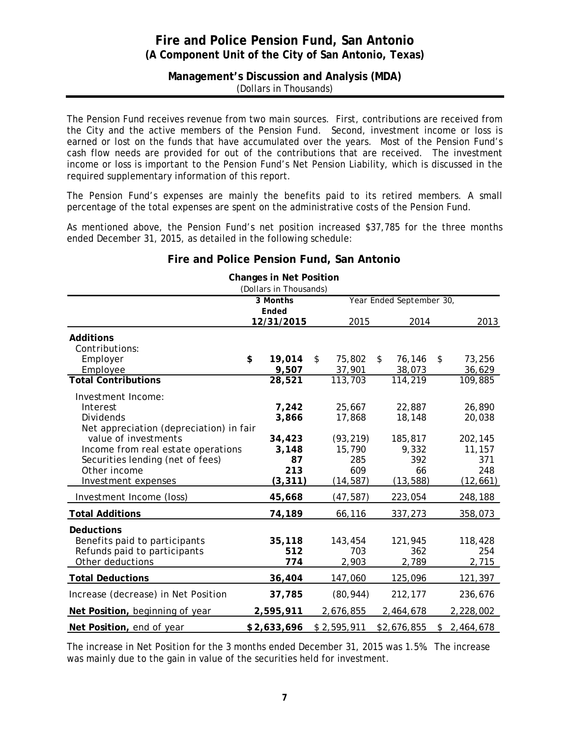### **Management's Discussion and Analysis (MDA)** (Dollars in Thousands)

The Pension Fund receives revenue from two main sources. First, contributions are received from the City and the active members of the Pension Fund. Second, investment income or loss is earned or lost on the funds that have accumulated over the years. Most of the Pension Fund's cash flow needs are provided for out of the contributions that are received. The investment income or loss is important to the Pension Fund's Net Pension Liability, which is discussed in the required supplementary information of this report.

The Pension Fund's expenses are mainly the benefits paid to its retired members. A small percentage of the total expenses are spent on the administrative costs of the Pension Fund.

As mentioned above, the Pension Fund's net position increased \$37,785 for the three months ended December 31, 2015, as detailed in the following schedule:

### **Fire and Police Pension Fund, San Antonio**

#### **Changes in Net Position**

|                                                                                                                                                                                                                                        | (Dollars in Thousands)                                     |                                                                    |    |                                                                |    |                                                                  |
|----------------------------------------------------------------------------------------------------------------------------------------------------------------------------------------------------------------------------------------|------------------------------------------------------------|--------------------------------------------------------------------|----|----------------------------------------------------------------|----|------------------------------------------------------------------|
|                                                                                                                                                                                                                                        | 3 Months                                                   | Year Ended September 30,                                           |    |                                                                |    |                                                                  |
|                                                                                                                                                                                                                                        | Ended                                                      |                                                                    |    |                                                                |    |                                                                  |
|                                                                                                                                                                                                                                        | 12/31/2015                                                 | 2015                                                               |    | 2014                                                           |    | 2013                                                             |
| <b>Additions</b><br>Contributions:<br>Employer<br>Employee                                                                                                                                                                             | \$<br>19,014<br>9,507                                      | \$<br>75,802<br>37,901                                             | \$ | 76,146<br>38,073                                               | \$ | 73,256<br>36,629                                                 |
| <b>Total Contributions</b>                                                                                                                                                                                                             | 28,521                                                     | 113,703                                                            |    | 114,219                                                        |    | 109,885                                                          |
| Investment Income:<br>Interest<br><b>Dividends</b><br>Net appreciation (depreciation) in fair<br>value of investments<br>Income from real estate operations<br>Securities lending (net of fees)<br>Other income<br>Investment expenses | 7,242<br>3,866<br>34,423<br>3,148<br>87<br>213<br>(3, 311) | 25,667<br>17,868<br>(93, 219)<br>15,790<br>285<br>609<br>(14, 587) |    | 22,887<br>18,148<br>185,817<br>9,332<br>392<br>66<br>(13, 588) |    | 26,890<br>20,038<br>202,145<br>11,157<br>371<br>248<br>(12, 661) |
| Investment Income (loss)                                                                                                                                                                                                               | 45,668                                                     | (47, 587)                                                          |    | 223,054                                                        |    | 248,188                                                          |
| <b>Total Additions</b>                                                                                                                                                                                                                 | 74,189                                                     | 66,116                                                             |    | 337,273                                                        |    | 358,073                                                          |
| <b>Deductions</b><br>Benefits paid to participants<br>Refunds paid to participants<br>Other deductions                                                                                                                                 | 35,118<br>512<br>774                                       | 143,454<br>703<br>2,903                                            |    | 121,945<br>362<br>2,789                                        |    | 118,428<br>254<br>2,715                                          |
| <b>Total Deductions</b>                                                                                                                                                                                                                | 36,404                                                     | 147,060                                                            |    | 125,096                                                        |    | 121,397                                                          |
| Increase (decrease) in Net Position                                                                                                                                                                                                    | 37,785                                                     | (80, 944)                                                          |    | 212,177                                                        |    | 236,676                                                          |
| Net Position, beginning of year                                                                                                                                                                                                        | 2,595,911                                                  | 2,676,855                                                          |    | 2,464,678                                                      |    | 2,228,002                                                        |
| Net Position, end of year                                                                                                                                                                                                              | \$2,633,696                                                | \$2,595,911                                                        |    | \$2,676,855                                                    |    | \$2,464,678                                                      |

The increase in Net Position for the 3 months ended December 31, 2015 was 1.5%. The increase was mainly due to the gain in value of the securities held for investment.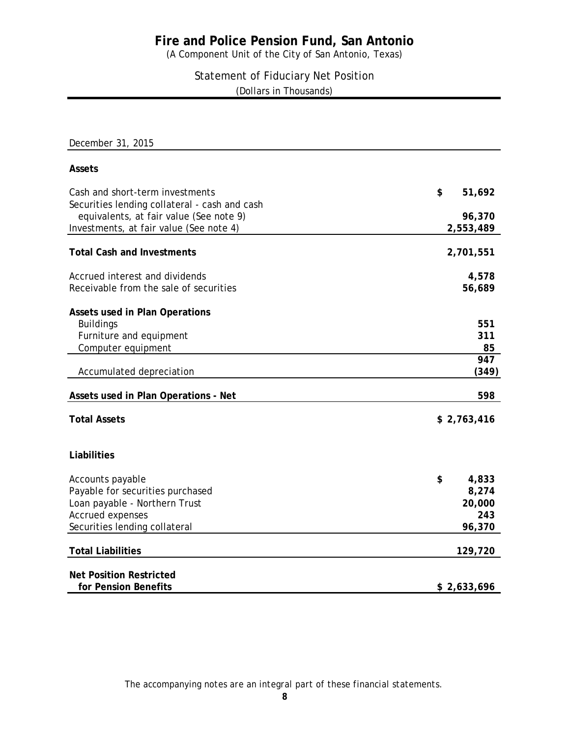## **Fire and Police Pension Fund, San Antonio**

(A Component Unit of the City of San Antonio, Texas)

(Dollars in Thousands) Statement of Fiduciary Net Position

*December 31, 2015*

| <b>Assets</b>                                 |              |
|-----------------------------------------------|--------------|
| Cash and short-term investments               | \$<br>51,692 |
| Securities lending collateral - cash and cash |              |
| equivalents, at fair value (See note 9)       | 96,370       |
| Investments, at fair value (See note 4)       | 2,553,489    |
|                                               |              |
| <b>Total Cash and Investments</b>             | 2,701,551    |
| Accrued interest and dividends                | 4,578        |
| Receivable from the sale of securities        | 56,689       |
| <b>Assets used in Plan Operations</b>         |              |
| <b>Buildings</b>                              | 551          |
| Furniture and equipment                       | 311          |
| Computer equipment                            | 85           |
|                                               | 947          |
| Accumulated depreciation                      | (349)        |
| Assets used in Plan Operations - Net          | 598          |
| <b>Total Assets</b>                           | \$2,763,416  |
| Liabilities                                   |              |
| Accounts payable                              | \$<br>4,833  |
| Payable for securities purchased              | 8,274        |
| Loan payable - Northern Trust                 | 20,000       |
| Accrued expenses                              | 243          |
| Securities lending collateral                 | 96,370       |
| <b>Total Liabilities</b>                      | 129,720      |
|                                               |              |
| <b>Net Position Restricted</b>                |              |
| for Pension Benefits                          | \$2,633,696  |

*The accompanying notes are an integral part of these financial statements.*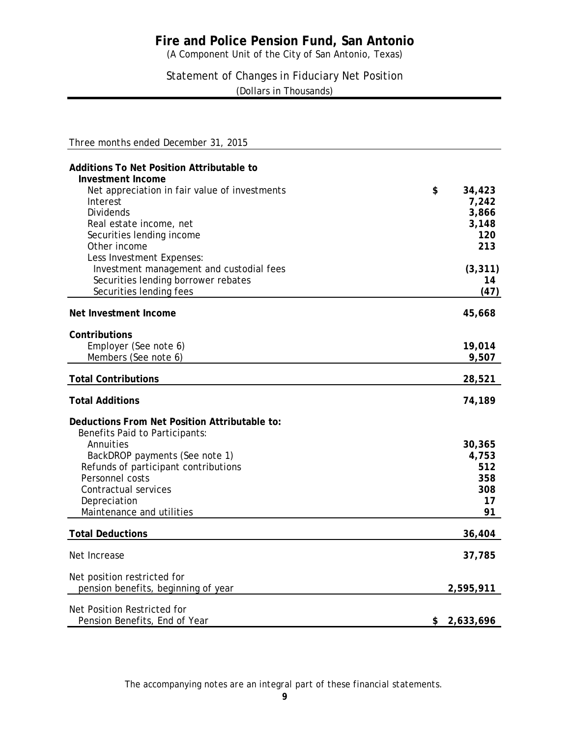## **Fire and Police Pension Fund, San Antonio**

(A Component Unit of the City of San Antonio, Texas)

# Statement of Changes in Fiduciary Net Position

(Dollars in Thousands)

*Three months ended December 31, 2015*

| <b>Additions To Net Position Attributable to</b><br><b>Investment Income</b> |                       |
|------------------------------------------------------------------------------|-----------------------|
| Net appreciation in fair value of investments<br>Interest                    | \$<br>34,423<br>7,242 |
| <b>Dividends</b>                                                             | 3,866                 |
| Real estate income, net                                                      | 3,148                 |
| Securities lending income                                                    | 120                   |
| Other income                                                                 | 213                   |
| Less Investment Expenses:<br>Investment management and custodial fees        | (3, 311)              |
| Securities lending borrower rebates                                          | 14                    |
| Securities lending fees                                                      | (47)                  |
| Net Investment Income                                                        | 45,668                |
| Contributions                                                                |                       |
| Employer (See note 6)                                                        | 19,014                |
| Members (See note 6)                                                         | 9,507                 |
| <b>Total Contributions</b>                                                   | 28,521                |
| <b>Total Additions</b>                                                       | 74,189                |
| Deductions From Net Position Attributable to:                                |                       |
| <b>Benefits Paid to Participants:</b>                                        |                       |
| Annuities                                                                    | 30,365                |
| BackDROP payments (See note 1)<br>Refunds of participant contributions       | 4,753<br>512          |
| Personnel costs                                                              | 358                   |
| Contractual services                                                         | 308                   |
| Depreciation                                                                 | 17                    |
| Maintenance and utilities                                                    | 91                    |
| <b>Total Deductions</b>                                                      | 36,404                |
| Net Increase                                                                 | 37,785                |
| Net position restricted for                                                  |                       |
| pension benefits, beginning of year                                          | 2,595,911             |
| Net Position Restricted for                                                  |                       |
| Pension Benefits, End of Year                                                | \$2,633,696           |

*The accompanying notes are an integral part of these financial statements.*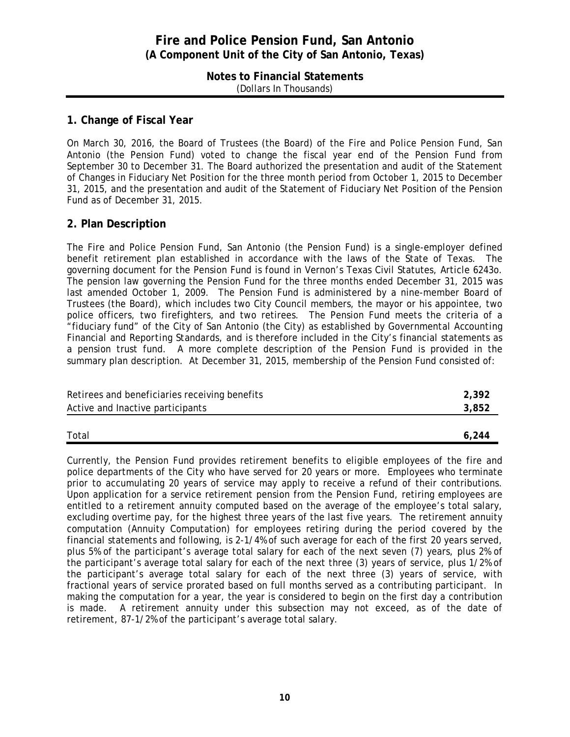### **Notes to Financial Statements** (Dollars In Thousands)

### **1. Change of Fiscal Year**

On March 30, 2016, the Board of Trustees (the Board) of the Fire and Police Pension Fund, San Antonio (the Pension Fund) voted to change the fiscal year end of the Pension Fund from September 30 to December 31. The Board authorized the presentation and audit of the Statement of Changes in Fiduciary Net Position for the three month period from October 1, 2015 to December 31, 2015, and the presentation and audit of the Statement of Fiduciary Net Position of the Pension Fund as of December 31, 2015.

## **2. Plan Description**

The Fire and Police Pension Fund, San Antonio (the Pension Fund) is a single-employer defined benefit retirement plan established in accordance with the laws of the State of Texas. The governing document for the Pension Fund is found in Vernon's Texas Civil Statutes, Article 6243o. The pension law governing the Pension Fund for the three months ended December 31, 2015 was last amended October 1, 2009. The Pension Fund is administered by a nine-member Board of Trustees (the Board), which includes two City Council members, the mayor or his appointee, two police officers, two firefighters, and two retirees. The Pension Fund meets the criteria of a "fiduciary fund" of the City of San Antonio (the City) as established by *Governmental Accounting Financial and Reporting Standards*, and is therefore included in the City's financial statements as a pension trust fund. A more complete description of the Pension Fund is provided in the summary plan description. At December 31, 2015, membership of the Pension Fund consisted of:

| Retirees and beneficiaries receiving benefits | 2,392 |
|-----------------------------------------------|-------|
| Active and Inactive participants              | 3,852 |
|                                               |       |

Total **6,244**

Currently, the Pension Fund provides retirement benefits to eligible employees of the fire and police departments of the City who have served for 20 years or more. Employees who terminate prior to accumulating 20 years of service may apply to receive a refund of their contributions. Upon application for a service retirement pension from the Pension Fund, retiring employees are entitled to a retirement annuity computed based on the average of the employee's total salary, excluding overtime pay, for the highest three years of the last five years. The retirement annuity computation (Annuity Computation) for employees retiring during the period covered by the financial statements and following, is 2-1/4% of such average for each of the first 20 years served, plus 5% of the participant's average total salary for each of the next seven (7) years, plus 2% of the participant's average total salary for each of the next three (3) years of service, plus 1/2% of the participant's average total salary for each of the next three (3) years of service, with fractional years of service prorated based on full months served as a contributing participant. In making the computation for a year, the year is considered to begin on the first day a contribution is made. A retirement annuity under this subsection may not exceed, as of the date of retirement, 87-1/2% of the participant's average total salary.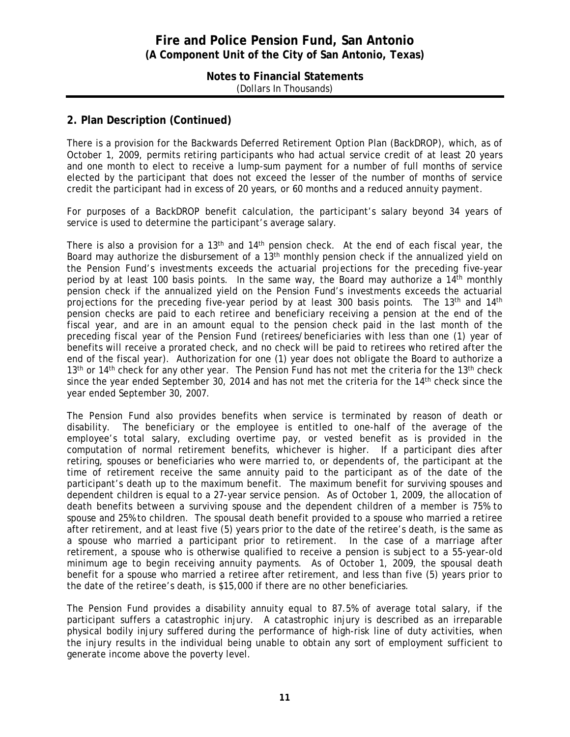### **Notes to Financial Statements** (Dollars In Thousands)

## **2. Plan Description (Continued)**

There is a provision for the Backwards Deferred Retirement Option Plan (BackDROP), which, as of October 1, 2009, permits retiring participants who had actual service credit of at least 20 years and one month to elect to receive a lump-sum payment for a number of full months of service elected by the participant that does not exceed the lesser of the number of months of service credit the participant had in excess of 20 years, or 60 months and a reduced annuity payment.

For purposes of a BackDROP benefit calculation, the participant's salary beyond 34 years of service is used to determine the participant's average salary.

There is also a provision for a  $13<sup>th</sup>$  and  $14<sup>th</sup>$  pension check. At the end of each fiscal year, the Board may authorize the disbursement of a 13<sup>th</sup> monthly pension check if the annualized yield on the Pension Fund's investments exceeds the actuarial projections for the preceding five-year period by at least 100 basis points. In the same way, the Board may authorize a 14<sup>th</sup> monthly pension check if the annualized yield on the Pension Fund's investments exceeds the actuarial projections for the preceding five-year period by at least 300 basis points. The 13<sup>th</sup> and 14<sup>th</sup> pension checks are paid to each retiree and beneficiary receiving a pension at the end of the fiscal year, and are in an amount equal to the pension check paid in the last month of the preceding fiscal year of the Pension Fund (retirees/beneficiaries with less than one (1) year of benefits will receive a prorated check, and no check will be paid to retirees who retired after the end of the fiscal year). Authorization for one (1) year does not obligate the Board to authorize a  $13<sup>th</sup>$  or  $14<sup>th</sup>$  check for any other year. The Pension Fund has not met the criteria for the  $13<sup>th</sup>$  check since the year ended September 30, 2014 and has not met the criteria for the 14<sup>th</sup> check since the year ended September 30, 2007.

The Pension Fund also provides benefits when service is terminated by reason of death or disability. The beneficiary or the employee is entitled to one-half of the average of the employee's total salary, excluding overtime pay, or vested benefit as is provided in the computation of normal retirement benefits, whichever is higher. If a participant dies after retiring, spouses or beneficiaries who were married to, or dependents of, the participant at the time of retirement receive the same annuity paid to the participant as of the date of the participant's death up to the maximum benefit. The maximum benefit for surviving spouses and dependent children is equal to a 27-year service pension. As of October 1, 2009, the allocation of death benefits between a surviving spouse and the dependent children of a member is 75% to spouse and 25% to children. The spousal death benefit provided to a spouse who married a retiree after retirement, and at least five (5) years prior to the date of the retiree's death, is the same as a spouse who married a participant prior to retirement. In the case of a marriage after retirement, a spouse who is otherwise qualified to receive a pension is subject to a 55-year-old minimum age to begin receiving annuity payments. As of October 1, 2009, the spousal death benefit for a spouse who married a retiree after retirement, and less than five (5) years prior to the date of the retiree's death, is \$15,000 if there are no other beneficiaries.

The Pension Fund provides a disability annuity equal to 87.5% of average total salary, if the participant suffers a catastrophic injury. A catastrophic injury is described as an irreparable physical bodily injury suffered during the performance of high-risk line of duty activities, when the injury results in the individual being unable to obtain any sort of employment sufficient to generate income above the poverty level.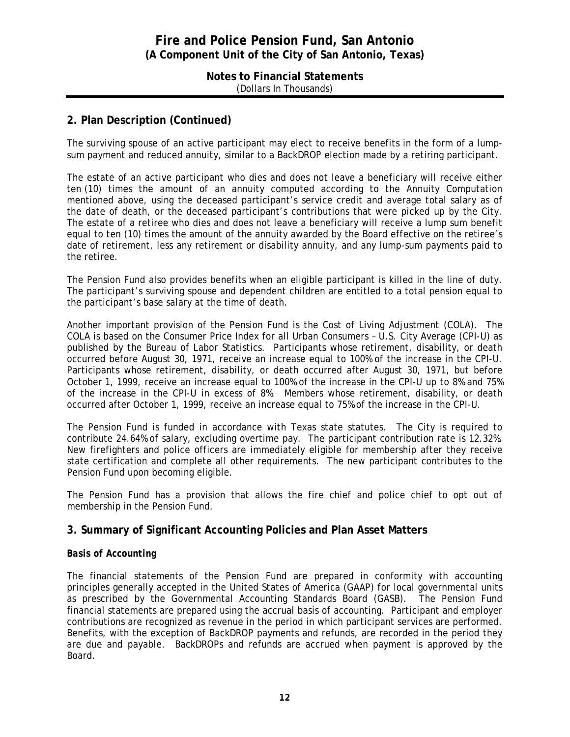### **Notes to Financial Statements** (Dollars In Thousands)

## **2. Plan Description (Continued)**

The surviving spouse of an active participant may elect to receive benefits in the form of a lumpsum payment and reduced annuity, similar to a BackDROP election made by a retiring participant.

The estate of an active participant who dies and does not leave a beneficiary will receive either ten (10) times the amount of an annuity computed according to the Annuity Computation mentioned above, using the deceased participant's service credit and average total salary as of the date of death, or the deceased participant's contributions that were picked up by the City. The estate of a retiree who dies and does not leave a beneficiary will receive a lump sum benefit equal to ten (10) times the amount of the annuity awarded by the Board effective on the retiree's date of retirement, less any retirement or disability annuity, and any lump-sum payments paid to the retiree.

The Pension Fund also provides benefits when an eligible participant is killed in the line of duty. The participant's surviving spouse and dependent children are entitled to a total pension equal to the participant's base salary at the time of death.

Another important provision of the Pension Fund is the Cost of Living Adjustment (COLA). The COLA is based on the Consumer Price Index for all Urban Consumers – U.S. City Average (CPI-U) as published by the Bureau of Labor Statistics. Participants whose retirement, disability, or death occurred before August 30, 1971, receive an increase equal to 100% of the increase in the CPI-U. Participants whose retirement, disability, or death occurred after August 30, 1971, but before October 1, 1999, receive an increase equal to 100% of the increase in the CPI-U up to 8% and 75% of the increase in the CPI-U in excess of 8%. Members whose retirement, disability, or death occurred after October 1, 1999, receive an increase equal to 75% of the increase in the CPI-U.

The Pension Fund is funded in accordance with Texas state statutes. The City is required to contribute 24.64% of salary, excluding overtime pay. The participant contribution rate is 12.32%. New firefighters and police officers are immediately eligible for membership after they receive state certification and complete all other requirements. The new participant contributes to the Pension Fund upon becoming eligible.

The Pension Fund has a provision that allows the fire chief and police chief to opt out of membership in the Pension Fund.

## **3. Summary of Significant Accounting Policies and Plan Asset Matters**

#### *Basis of Accounting*

The financial statements of the Pension Fund are prepared in conformity with accounting principles generally accepted in the United States of America (GAAP) for local governmental units as prescribed by the Governmental Accounting Standards Board (GASB). The Pension Fund financial statements are prepared using the accrual basis of accounting. Participant and employer contributions are recognized as revenue in the period in which participant services are performed. Benefits, with the exception of BackDROP payments and refunds, are recorded in the period they are due and payable. BackDROPs and refunds are accrued when payment is approved by the Board.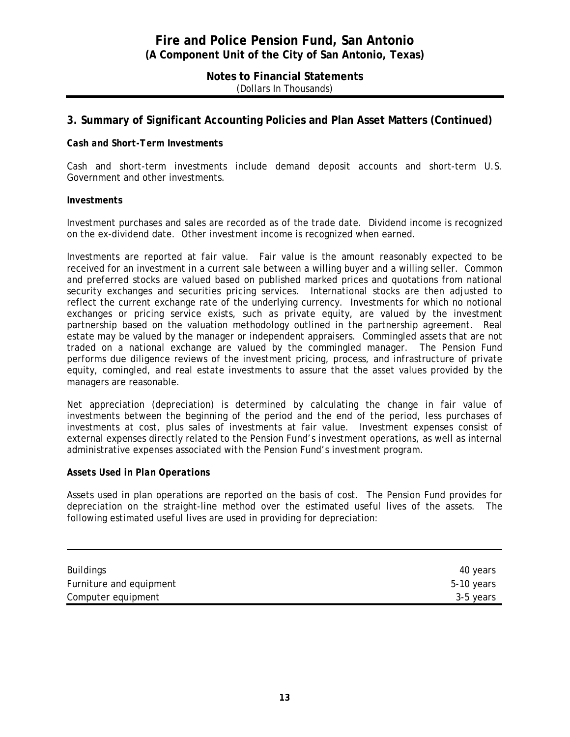**Notes to Financial Statements** (Dollars In Thousands)

## **3. Summary of Significant Accounting Policies and Plan Asset Matters (Continued)**

#### *Cash and Short-Term Investments*

Cash and short-term investments include demand deposit accounts and short-term U.S. Government and other investments.

#### *Investments*

Investment purchases and sales are recorded as of the trade date. Dividend income is recognized on the ex-dividend date. Other investment income is recognized when earned.

Investments are reported at fair value. Fair value is the amount reasonably expected to be received for an investment in a current sale between a willing buyer and a willing seller. Common and preferred stocks are valued based on published marked prices and quotations from national security exchanges and securities pricing services. International stocks are then adjusted to reflect the current exchange rate of the underlying currency. Investments for which no notional exchanges or pricing service exists, such as private equity, are valued by the investment partnership based on the valuation methodology outlined in the partnership agreement. Real estate may be valued by the manager or independent appraisers. Commingled assets that are not traded on a national exchange are valued by the commingled manager. The Pension Fund performs due diligence reviews of the investment pricing, process, and infrastructure of private equity, comingled, and real estate investments to assure that the asset values provided by the managers are reasonable.

Net appreciation (depreciation) is determined by calculating the change in fair value of investments between the beginning of the period and the end of the period, less purchases of investments at cost, plus sales of investments at fair value. Investment expenses consist of external expenses directly related to the Pension Fund's investment operations, as well as internal administrative expenses associated with the Pension Fund's investment program.

#### *Assets Used in Plan Operations*

Assets used in plan operations are reported on the basis of cost. The Pension Fund provides for depreciation on the straight-line method over the estimated useful lives of the assets. The following estimated useful lives are used in providing for depreciation:

| <b>Buildings</b>        | 40 years   |
|-------------------------|------------|
| Furniture and equipment | 5-10 years |
| Computer equipment      | 3-5 years  |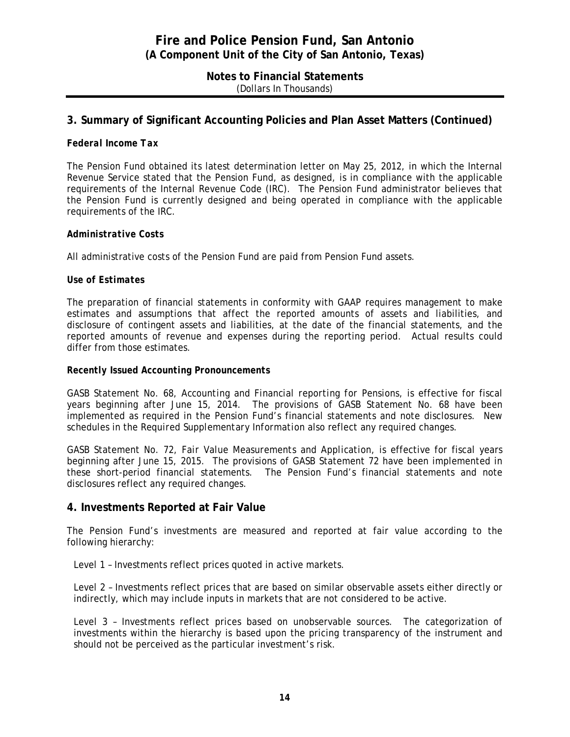**Notes to Financial Statements** (Dollars In Thousands)

## **3. Summary of Significant Accounting Policies and Plan Asset Matters (Continued)**

### *Federal Income Tax*

The Pension Fund obtained its latest determination letter on May 25, 2012, in which the Internal Revenue Service stated that the Pension Fund, as designed, is in compliance with the applicable requirements of the Internal Revenue Code (IRC). The Pension Fund administrator believes that the Pension Fund is currently designed and being operated in compliance with the applicable requirements of the IRC.

#### *Administrative Costs*

All administrative costs of the Pension Fund are paid from Pension Fund assets.

#### *Use of Estimates*

The preparation of financial statements in conformity with GAAP requires management to make estimates and assumptions that affect the reported amounts of assets and liabilities, and disclosure of contingent assets and liabilities, at the date of the financial statements, and the reported amounts of revenue and expenses during the reporting period. Actual results could differ from those estimates.

#### *Recently Issued Accounting Pronouncements*

GASB Statement No. 68, *Accounting and Financial reporting for Pensions*, is effective for fiscal years beginning after June 15, 2014. The provisions of GASB Statement No. 68 have been implemented as required in the Pension Fund's financial statements and note disclosures. New schedules in the *Required Supplementary Information* also reflect any required changes.

GASB Statement No. 72, *Fair Value Measurements and Application*, is effective for fiscal years beginning after June 15, 2015. The provisions of GASB Statement 72 have been implemented in these short-period financial statements. The Pension Fund's financial statements and note disclosures reflect any required changes.

#### **4. Investments Reported at Fair Value**

The Pension Fund's investments are measured and reported at fair value according to the following hierarchy:

Level 1 – Investments reflect prices quoted in active markets.

Level 2 – Investments reflect prices that are based on similar observable assets either directly or indirectly, which may include inputs in markets that are not considered to be active.

Level 3 – Investments reflect prices based on unobservable sources. The categorization of investments within the hierarchy is based upon the pricing transparency of the instrument and should not be perceived as the particular investment's risk.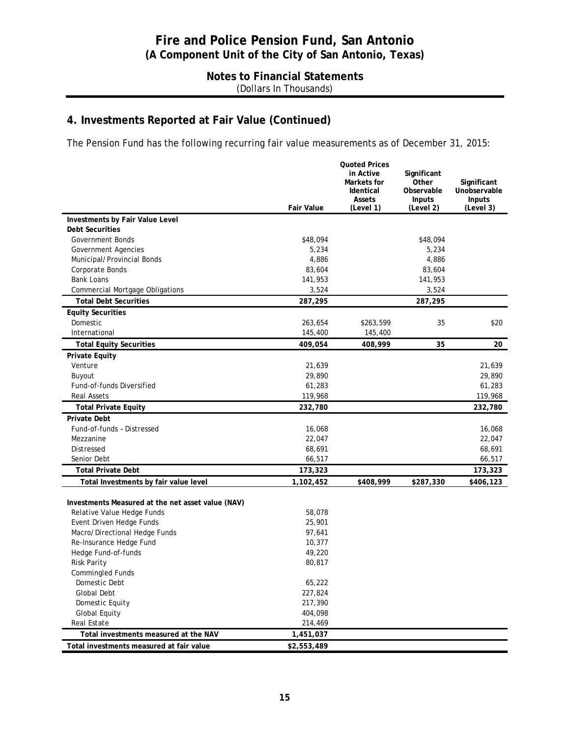## **Notes to Financial Statements** (Dollars In Thousands)

## **4. Investments Reported at Fair Value (Continued)**

The Pension Fund has the following recurring fair value measurements as of December 31, 2015:

|                                                   |                   | <b>Quoted Prices</b>                            |                                              |                                       |
|---------------------------------------------------|-------------------|-------------------------------------------------|----------------------------------------------|---------------------------------------|
|                                                   |                   | in Active<br>Markets for<br>Identical<br>Assets | Significant<br>Other<br>Observable<br>Inputs | Significant<br>Unobservable<br>Inputs |
|                                                   | <b>Fair Value</b> | (Level 1)                                       | (Level 2)                                    | (Level 3)                             |
| Investments by Fair Value Level                   |                   |                                                 |                                              |                                       |
| <b>Debt Securities</b>                            |                   |                                                 |                                              |                                       |
| Government Bonds                                  | \$48,094          |                                                 | \$48,094                                     |                                       |
| Government Agencies                               | 5,234             |                                                 | 5,234                                        |                                       |
| Municipal/Provincial Bonds                        | 4,886             |                                                 | 4,886                                        |                                       |
| Corporate Bonds                                   | 83,604            |                                                 | 83,604                                       |                                       |
| <b>Bank Loans</b>                                 | 141,953           |                                                 | 141,953                                      |                                       |
| <b>Commercial Mortgage Obligations</b>            | 3,524             |                                                 | 3,524                                        |                                       |
| <b>Total Debt Securities</b>                      | 287,295           |                                                 | 287,295                                      |                                       |
| <b>Equity Securities</b>                          |                   |                                                 |                                              |                                       |
| Domestic                                          | 263,654           | \$263,599                                       | 35                                           | \$20                                  |
| International                                     | 145,400           | 145,400                                         |                                              |                                       |
| <b>Total Equity Securities</b>                    | 409,054           | 408,999                                         | 35                                           | 20                                    |
| <b>Private Equity</b>                             |                   |                                                 |                                              |                                       |
| Venture                                           | 21,639            |                                                 |                                              | 21,639                                |
| Buyout                                            | 29,890            |                                                 |                                              | 29,890                                |
| Fund-of-funds Diversified                         | 61,283            |                                                 |                                              | 61,283                                |
| <b>Real Assets</b>                                | 119,968           |                                                 |                                              | 119,968                               |
| <b>Total Private Equity</b>                       | 232,780           |                                                 |                                              | 232,780                               |
| <b>Private Debt</b>                               |                   |                                                 |                                              |                                       |
| Fund-of-funds - Distressed                        | 16,068            |                                                 |                                              | 16,068                                |
| Mezzanine                                         | 22,047            |                                                 |                                              | 22,047                                |
| Distressed                                        | 68,691            |                                                 |                                              | 68,691                                |
| Senior Debt                                       | 66,517            |                                                 |                                              | 66,517                                |
| <b>Total Private Debt</b>                         | 173,323           |                                                 |                                              | 173,323                               |
| Total Investments by fair value level             | 1,102,452         | \$408,999                                       | \$287,330                                    | \$406,123                             |
|                                                   |                   |                                                 |                                              |                                       |
| Investments Measured at the net asset value (NAV) |                   |                                                 |                                              |                                       |
| Relative Value Hedge Funds                        | 58,078            |                                                 |                                              |                                       |
| Event Driven Hedge Funds                          | 25,901            |                                                 |                                              |                                       |
| Macro/Directional Hedge Funds                     | 97,641            |                                                 |                                              |                                       |
| Re-Insurance Hedge Fund                           | 10,377            |                                                 |                                              |                                       |
| Hedge Fund-of-funds                               | 49,220            |                                                 |                                              |                                       |
| <b>Risk Parity</b>                                | 80,817            |                                                 |                                              |                                       |
| Commingled Funds                                  |                   |                                                 |                                              |                                       |
| Domestic Debt                                     | 65,222            |                                                 |                                              |                                       |
| Global Debt                                       | 227,824           |                                                 |                                              |                                       |
| Domestic Equity                                   | 217,390           |                                                 |                                              |                                       |
| Global Equity                                     | 404,098           |                                                 |                                              |                                       |
| Real Estate                                       | 214,469           |                                                 |                                              |                                       |
| Total investments measured at the NAV             | 1,451,037         |                                                 |                                              |                                       |
| Total investments measured at fair value          | \$2,553,489       |                                                 |                                              |                                       |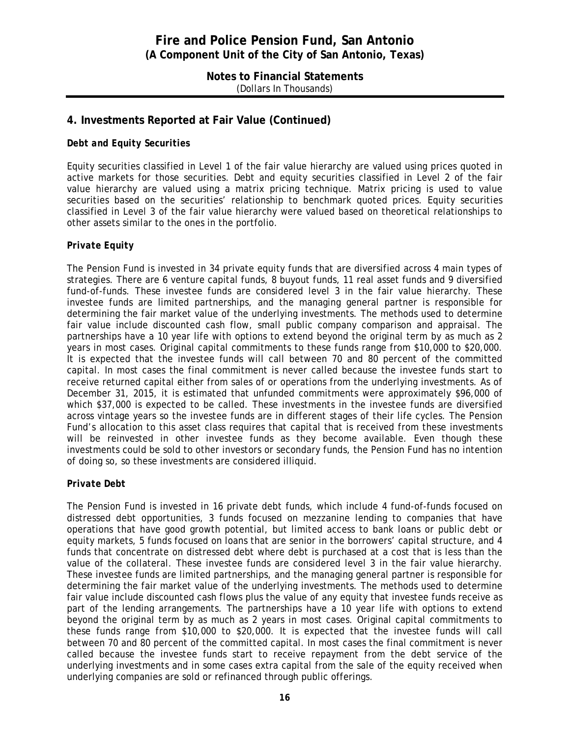**Notes to Financial Statements** (Dollars In Thousands)

## **4. Investments Reported at Fair Value (Continued)**

#### *Debt and Equity Securities*

Equity securities classified in Level 1 of the fair value hierarchy are valued using prices quoted in active markets for those securities. Debt and equity securities classified in Level 2 of the fair value hierarchy are valued using a matrix pricing technique. Matrix pricing is used to value securities based on the securities' relationship to benchmark quoted prices. Equity securities classified in Level 3 of the fair value hierarchy were valued based on theoretical relationships to other assets similar to the ones in the portfolio.

#### *Private Equity*

The Pension Fund is invested in 34 private equity funds that are diversified across 4 main types of strategies. There are 6 venture capital funds, 8 buyout funds, 11 real asset funds and 9 diversified fund-of-funds. These investee funds are considered level 3 in the fair value hierarchy. These investee funds are limited partnerships, and the managing general partner is responsible for determining the fair market value of the underlying investments. The methods used to determine fair value include discounted cash flow, small public company comparison and appraisal. The partnerships have a 10 year life with options to extend beyond the original term by as much as 2 years in most cases. Original capital commitments to these funds range from \$10,000 to \$20,000. It is expected that the investee funds will call between 70 and 80 percent of the committed capital. In most cases the final commitment is never called because the investee funds start to receive returned capital either from sales of or operations from the underlying investments. As of December 31, 2015, it is estimated that unfunded commitments were approximately \$96,000 of which \$37,000 is expected to be called. These investments in the investee funds are diversified across vintage years so the investee funds are in different stages of their life cycles. The Pension Fund's allocation to this asset class requires that capital that is received from these investments will be reinvested in other investee funds as they become available. Even though these investments could be sold to other investors or secondary funds, the Pension Fund has no intention of doing so, so these investments are considered illiquid.

#### *Private Debt*

The Pension Fund is invested in 16 private debt funds, which include 4 fund-of-funds focused on distressed debt opportunities, 3 funds focused on mezzanine lending to companies that have operations that have good growth potential, but limited access to bank loans or public debt or equity markets, 5 funds focused on loans that are senior in the borrowers' capital structure, and 4 funds that concentrate on distressed debt where debt is purchased at a cost that is less than the value of the collateral. These investee funds are considered level 3 in the fair value hierarchy. These investee funds are limited partnerships, and the managing general partner is responsible for determining the fair market value of the underlying investments. The methods used to determine fair value include discounted cash flows plus the value of any equity that investee funds receive as part of the lending arrangements. The partnerships have a 10 year life with options to extend beyond the original term by as much as 2 years in most cases. Original capital commitments to these funds range from \$10,000 to \$20,000. It is expected that the investee funds will call between 70 and 80 percent of the committed capital. In most cases the final commitment is never called because the investee funds start to receive repayment from the debt service of the underlying investments and in some cases extra capital from the sale of the equity received when underlying companies are sold or refinanced through public offerings.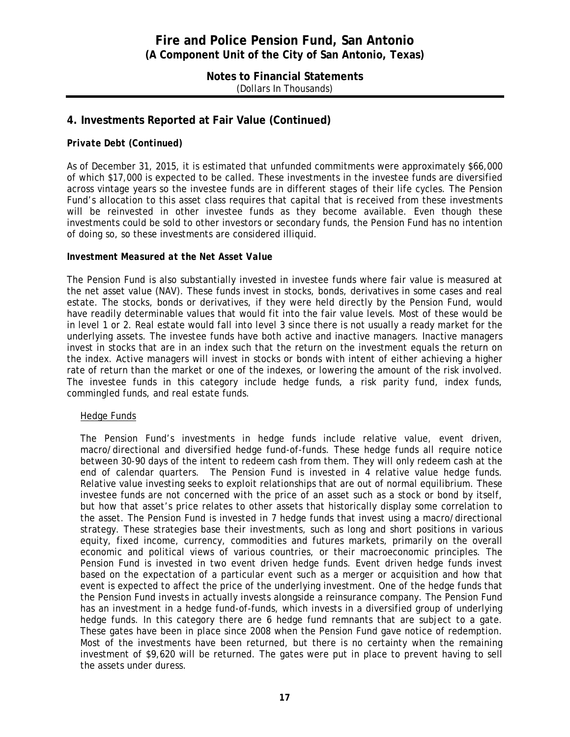### **Notes to Financial Statements** (Dollars In Thousands)

## **4. Investments Reported at Fair Value (Continued)**

### *Private Debt (Continued)*

As of December 31, 2015, it is estimated that unfunded commitments were approximately \$66,000 of which \$17,000 is expected to be called. These investments in the investee funds are diversified across vintage years so the investee funds are in different stages of their life cycles. The Pension Fund's allocation to this asset class requires that capital that is received from these investments will be reinvested in other investee funds as they become available. Even though these investments could be sold to other investors or secondary funds, the Pension Fund has no intention of doing so, so these investments are considered illiquid.

#### *Investment Measured at the Net Asset Value*

The Pension Fund is also substantially invested in investee funds where fair value is measured at the net asset value (NAV). These funds invest in stocks, bonds, derivatives in some cases and real estate. The stocks, bonds or derivatives, if they were held directly by the Pension Fund, would have readily determinable values that would fit into the fair value levels. Most of these would be in level 1 or 2. Real estate would fall into level 3 since there is not usually a ready market for the underlying assets. The investee funds have both active and inactive managers. Inactive managers invest in stocks that are in an index such that the return on the investment equals the return on the index. Active managers will invest in stocks or bonds with intent of either achieving a higher rate of return than the market or one of the indexes, or lowering the amount of the risk involved. The investee funds in this category include hedge funds, a risk parity fund, index funds, commingled funds, and real estate funds.

#### Hedge Funds

The Pension Fund's investments in hedge funds include relative value, event driven, macro/directional and diversified hedge fund-of-funds. These hedge funds all require notice between 30-90 days of the intent to redeem cash from them. They will only redeem cash at the end of calendar quarters. The Pension Fund is invested in 4 relative value hedge funds. Relative value investing seeks to exploit relationships that are out of normal equilibrium. These investee funds are not concerned with the price of an asset such as a stock or bond by itself, but how that asset's price relates to other assets that historically display some correlation to the asset. The Pension Fund is invested in 7 hedge funds that invest using a macro/directional strategy. These strategies base their investments, such as long and short positions in various equity, fixed income, currency, commodities and futures markets, primarily on the overall economic and political views of various countries, or their macroeconomic principles. The Pension Fund is invested in two event driven hedge funds. Event driven hedge funds invest based on the expectation of a particular event such as a merger or acquisition and how that event is expected to affect the price of the underlying investment. One of the hedge funds that the Pension Fund invests in actually invests alongside a reinsurance company. The Pension Fund has an investment in a hedge fund-of-funds, which invests in a diversified group of underlying hedge funds. In this category there are 6 hedge fund remnants that are subject to a gate. These gates have been in place since 2008 when the Pension Fund gave notice of redemption. Most of the investments have been returned, but there is no certainty when the remaining investment of \$9,620 will be returned. The gates were put in place to prevent having to sell the assets under duress.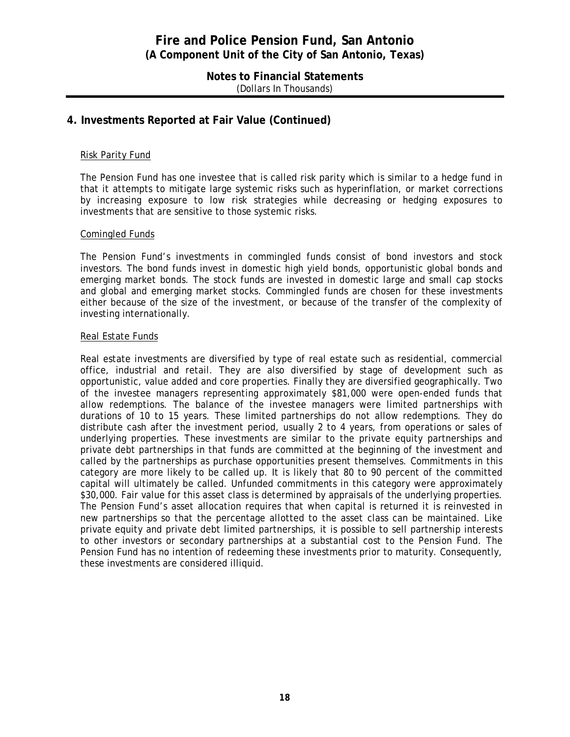### **Notes to Financial Statements** (Dollars In Thousands)

## **4. Investments Reported at Fair Value (Continued)**

#### Risk Parity Fund

The Pension Fund has one investee that is called risk parity which is similar to a hedge fund in that it attempts to mitigate large systemic risks such as hyperinflation, or market corrections by increasing exposure to low risk strategies while decreasing or hedging exposures to investments that are sensitive to those systemic risks.

#### Comingled Funds

The Pension Fund's investments in commingled funds consist of bond investors and stock investors. The bond funds invest in domestic high yield bonds, opportunistic global bonds and emerging market bonds. The stock funds are invested in domestic large and small cap stocks and global and emerging market stocks. Commingled funds are chosen for these investments either because of the size of the investment, or because of the transfer of the complexity of investing internationally.

#### Real Estate Funds

Real estate investments are diversified by type of real estate such as residential, commercial office, industrial and retail. They are also diversified by stage of development such as opportunistic, value added and core properties. Finally they are diversified geographically. Two of the investee managers representing approximately \$81,000 were open-ended funds that allow redemptions. The balance of the investee managers were limited partnerships with durations of 10 to 15 years. These limited partnerships do not allow redemptions. They do distribute cash after the investment period, usually 2 to 4 years, from operations or sales of underlying properties. These investments are similar to the private equity partnerships and private debt partnerships in that funds are committed at the beginning of the investment and called by the partnerships as purchase opportunities present themselves. Commitments in this category are more likely to be called up. It is likely that 80 to 90 percent of the committed capital will ultimately be called. Unfunded commitments in this category were approximately \$30,000. Fair value for this asset class is determined by appraisals of the underlying properties. The Pension Fund's asset allocation requires that when capital is returned it is reinvested in new partnerships so that the percentage allotted to the asset class can be maintained. Like private equity and private debt limited partnerships, it is possible to sell partnership interests to other investors or secondary partnerships at a substantial cost to the Pension Fund. The Pension Fund has no intention of redeeming these investments prior to maturity. Consequently, these investments are considered illiquid.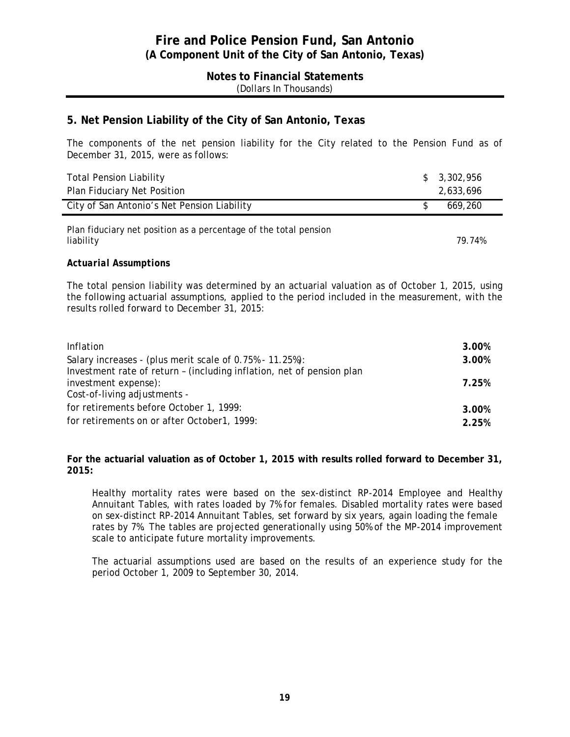### **Notes to Financial Statements** (Dollars In Thousands)

## **5. Net Pension Liability of the City of San Antonio, Texas**

The components of the net pension liability for the City related to the Pension Fund as of December 31, 2015, were as follows:

| <b>Total Pension Liability</b>              | \$3,302,956 |
|---------------------------------------------|-------------|
| Plan Fiduciary Net Position                 | 2,633,696   |
| City of San Antonio's Net Pension Liability | 669.260     |

Plan fiduciary net position as a percentage of the total pension liability 79.74%

#### *Actuarial Assumptions*

The total pension liability was determined by an actuarial valuation as of October 1, 2015, using the following actuarial assumptions, applied to the period included in the measurement, with the results rolled forward to December 31, 2015:

| Inflation                                                                                                                         | 3.00% |
|-----------------------------------------------------------------------------------------------------------------------------------|-------|
| Salary increases - (plus merit scale of 0.75% - 11.25%):<br>Investment rate of return - (including inflation, net of pension plan | 3.00% |
| investment expense):<br>Cost-of-living adjustments -                                                                              | 7.25% |
| for retirements before October 1, 1999:                                                                                           | 3.00% |
| for retirements on or after October1, 1999:                                                                                       | 2.25% |

#### **For the actuarial valuation as of October 1, 2015 with results rolled forward to December 31, 2015:**

Healthy mortality rates were based on the sex-distinct RP-2014 Employee and Healthy Annuitant Tables, with rates loaded by 7% for females. Disabled mortality rates were based on sex-distinct RP-2014 Annuitant Tables, set forward by six years, again loading the female rates by 7%. The tables are projected generationally using 50% of the MP-2014 improvement scale to anticipate future mortality improvements.

The actuarial assumptions used are based on the results of an experience study for the period October 1, 2009 to September 30, 2014.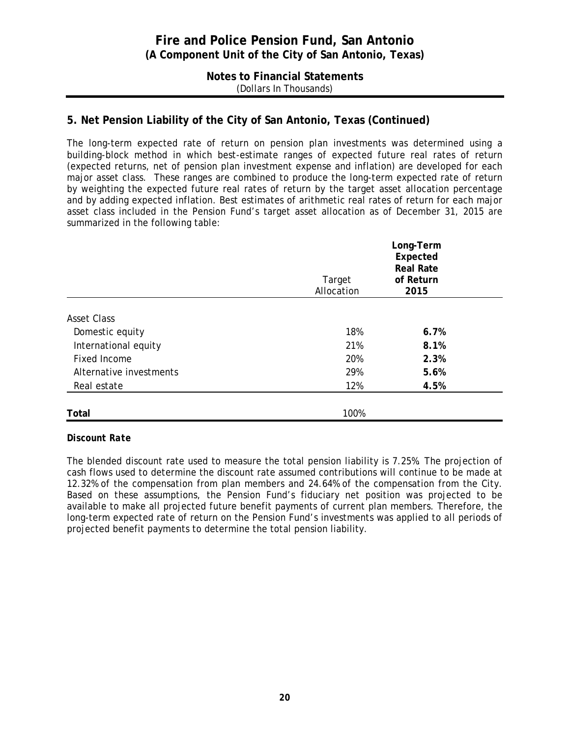### **Notes to Financial Statements** (Dollars In Thousands)

## **5. Net Pension Liability of the City of San Antonio, Texas (Continued)**

The long-term expected rate of return on pension plan investments was determined using a building-block method in which best-estimate ranges of expected future real rates of return (expected returns, net of pension plan investment expense and inflation) are developed for each major asset class. These ranges are combined to produce the long-term expected rate of return by weighting the expected future real rates of return by the target asset allocation percentage and by adding expected inflation. Best estimates of arithmetic real rates of return for each major asset class included in the Pension Fund's target asset allocation as of December 31, 2015 are summarized in the following table:

|                         | Target<br>Allocation | Long-Term<br>Expected<br><b>Real Rate</b><br>of Return<br>2015 |  |
|-------------------------|----------------------|----------------------------------------------------------------|--|
|                         |                      |                                                                |  |
| <b>Asset Class</b>      |                      |                                                                |  |
| Domestic equity         | 18%                  | 6.7%                                                           |  |
| International equity    | 21%                  | 8.1%                                                           |  |
| <b>Fixed Income</b>     | 20%                  | 2.3%                                                           |  |
| Alternative investments | 29%                  | 5.6%                                                           |  |
| Real estate             | 12%                  | 4.5%                                                           |  |
| <b>Total</b>            | 100%                 |                                                                |  |

#### *Discount Rate*

The blended discount rate used to measure the total pension liability is 7.25%. The projection of cash flows used to determine the discount rate assumed contributions will continue to be made at 12.32% of the compensation from plan members and 24.64% of the compensation from the City. Based on these assumptions, the Pension Fund's fiduciary net position was projected to be available to make all projected future benefit payments of current plan members. Therefore, the long-term expected rate of return on the Pension Fund's investments was applied to all periods of projected benefit payments to determine the total pension liability.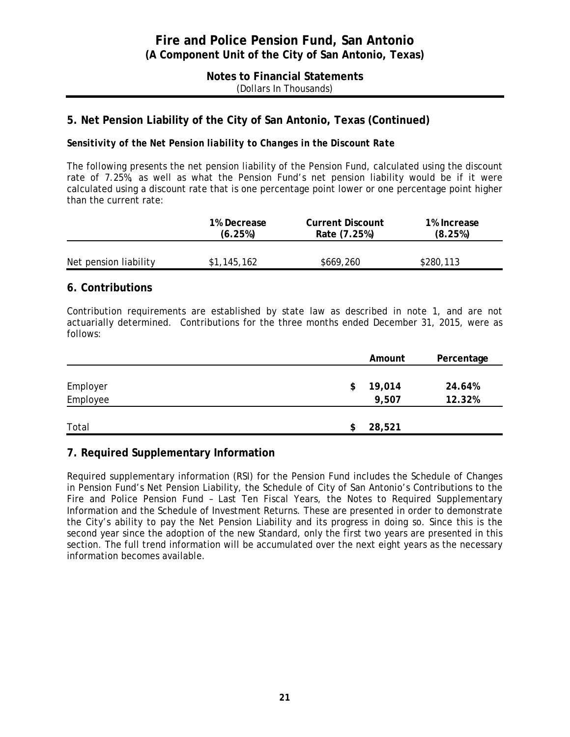### **Notes to Financial Statements** (Dollars In Thousands)

## **5. Net Pension Liability of the City of San Antonio, Texas (Continued)**

### *Sensitivity of the Net Pension liability to Changes in the Discount Rate*

The following presents the net pension liability of the Pension Fund, calculated using the discount rate of 7.25%, as well as what the Pension Fund's net pension liability would be if it were calculated using a discount rate that is one percentage point lower or one percentage point higher than the current rate:

|                       | 1% Decrease<br>(6.25%) | <b>Current Discount</b><br>Rate (7.25%) | 1% Increase<br>(8.25%) |  |
|-----------------------|------------------------|-----------------------------------------|------------------------|--|
| Net pension liability | \$1,145,162            | \$669,260                               | \$280,113              |  |

### **6. Contributions**

Contribution requirements are established by state law as described in note 1, and are not actuarially determined. Contributions for the three months ended December 31, 2015, were as follows:

|          | Amount       | Percentage |
|----------|--------------|------------|
|          |              |            |
| Employer | \$<br>19,014 | 24.64%     |
| Employee | 9,507        | 12.32%     |
|          |              |            |
| Total    | 28,521       |            |

## **7. Required Supplementary Information**

Required supplementary information (RSI) for the Pension Fund includes the Schedule of Changes in Pension Fund's Net Pension Liability, the Schedule of City of San Antonio's Contributions to the Fire and Police Pension Fund – Last Ten Fiscal Years, the Notes to Required Supplementary Information and the Schedule of Investment Returns. These are presented in order to demonstrate the City's ability to pay the Net Pension Liability and its progress in doing so. Since this is the second year since the adoption of the new Standard, only the first two years are presented in this section. The full trend information will be accumulated over the next eight years as the necessary information becomes available.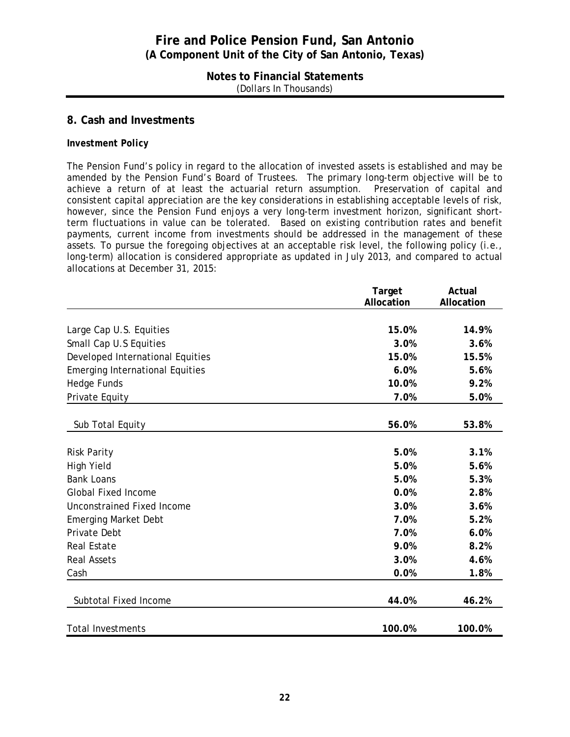### **Notes to Financial Statements** (Dollars In Thousands)

### **8. Cash and Investments**

#### *Investment Policy*

The Pension Fund's policy in regard to the allocation of invested assets is established and may be amended by the Pension Fund's Board of Trustees. The primary long-term objective will be to achieve a return of at least the actuarial return assumption. Preservation of capital and consistent capital appreciation are the key considerations in establishing acceptable levels of risk, however, since the Pension Fund enjoys a very long-term investment horizon, significant shortterm fluctuations in value can be tolerated. Based on existing contribution rates and benefit payments, current income from investments should be addressed in the management of these assets. To pursue the foregoing objectives at an acceptable risk level, the following policy (i.e., long-term) allocation is considered appropriate as updated in July 2013, and compared to actual allocations at December 31, 2015:

|                                        | Target     | Actual     |
|----------------------------------------|------------|------------|
|                                        | Allocation | Allocation |
| Large Cap U.S. Equities                | 15.0%      | 14.9%      |
|                                        | 3.0%       | 3.6%       |
| Small Cap U.S Equities                 |            |            |
| Developed International Equities       | 15.0%      | 15.5%      |
| <b>Emerging International Equities</b> | 6.0%       | 5.6%       |
| <b>Hedge Funds</b>                     | 10.0%      | 9.2%       |
| Private Equity                         | 7.0%       | 5.0%       |
| Sub Total Equity                       | 56.0%      | 53.8%      |
| <b>Risk Parity</b>                     | 5.0%       | 3.1%       |
| <b>High Yield</b>                      | 5.0%       | 5.6%       |
| <b>Bank Loans</b>                      | 5.0%       | 5.3%       |
| <b>Global Fixed Income</b>             | 0.0%       | 2.8%       |
| <b>Unconstrained Fixed Income</b>      | 3.0%       | 3.6%       |
| <b>Emerging Market Debt</b>            | 7.0%       | 5.2%       |
| Private Debt                           | 7.0%       | 6.0%       |
| <b>Real Estate</b>                     | 9.0%       | 8.2%       |
| <b>Real Assets</b>                     | 3.0%       | 4.6%       |
| Cash                                   | 0.0%       | 1.8%       |
| <b>Subtotal Fixed Income</b>           | 44.0%      | 46.2%      |
| <b>Total Investments</b>               | 100.0%     | 100.0%     |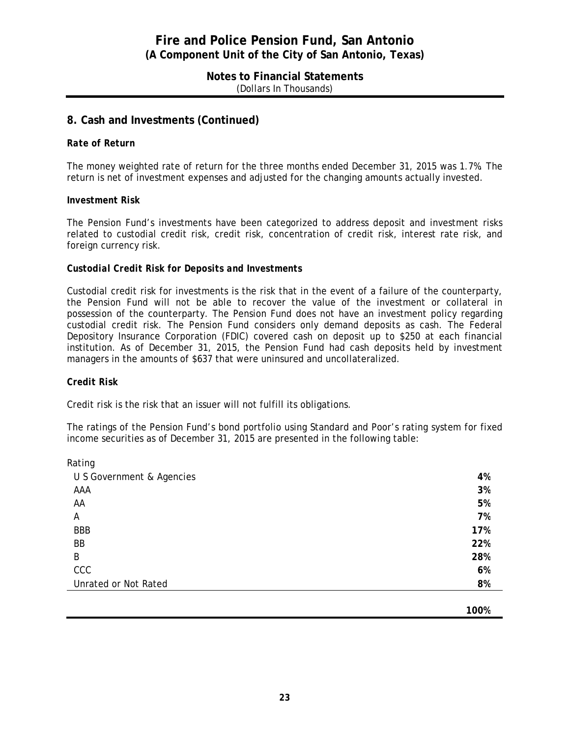**Notes to Financial Statements** (Dollars In Thousands)

### **8. Cash and Investments (Continued)**

#### *Rate of Return*

The money weighted rate of return for the three months ended December 31, 2015 was 1.7%. The return is net of investment expenses and adjusted for the changing amounts actually invested.

#### *Investment Risk*

The Pension Fund's investments have been categorized to address deposit and investment risks related to custodial credit risk, credit risk, concentration of credit risk, interest rate risk, and foreign currency risk.

#### *Custodial Credit Risk for Deposits and Investments*

Custodial credit risk for investments is the risk that in the event of a failure of the counterparty, the Pension Fund will not be able to recover the value of the investment or collateral in possession of the counterparty. The Pension Fund does not have an investment policy regarding custodial credit risk. The Pension Fund considers only demand deposits as cash. The Federal Depository Insurance Corporation (FDIC) covered cash on deposit up to \$250 at each financial institution. As of December 31, 2015, the Pension Fund had cash deposits held by investment managers in the amounts of \$637 that were uninsured and uncollateralized.

#### *Credit Risk*

Dating

Credit risk is the risk that an issuer will not fulfill its obligations.

The ratings of the Pension Fund's bond portfolio using Standard and Poor's rating system for fixed income securities as of December 31, 2015 are presented in the following table:

| nating                      |     |
|-----------------------------|-----|
| U S Government & Agencies   | 4%  |
| AAA                         | 3%  |
| AA                          | 5%  |
| А                           | 7%  |
| <b>BBB</b>                  | 17% |
| ΒB                          | 22% |
| B                           | 28% |
| CCC                         | 6%  |
| <b>Unrated or Not Rated</b> | 8%  |
|                             |     |

| ٩<br>×<br>I |  |
|-------------|--|
|-------------|--|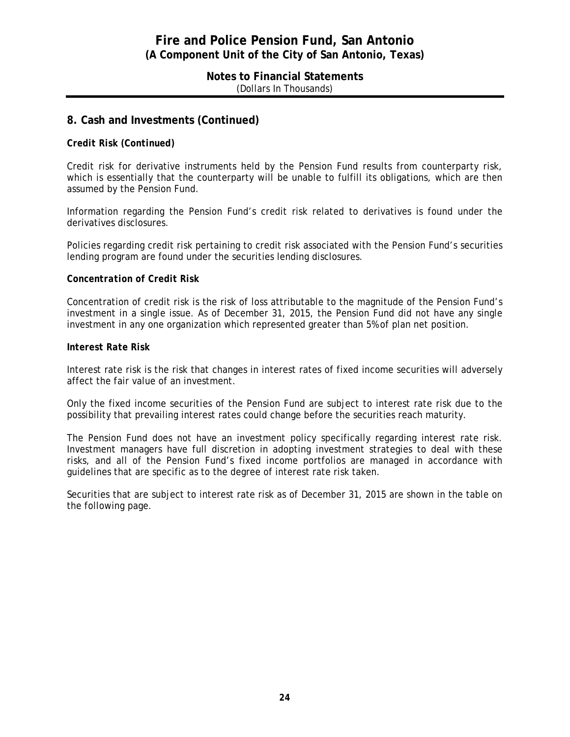### **Notes to Financial Statements** (Dollars In Thousands)

### **8. Cash and Investments (Continued)**

#### *Credit Risk (Continued)*

Credit risk for derivative instruments held by the Pension Fund results from counterparty risk, which is essentially that the counterparty will be unable to fulfill its obligations, which are then assumed by the Pension Fund.

Information regarding the Pension Fund's credit risk related to derivatives is found under the derivatives disclosures.

Policies regarding credit risk pertaining to credit risk associated with the Pension Fund's securities lending program are found under the securities lending disclosures.

#### *Concentration of Credit Risk*

Concentration of credit risk is the risk of loss attributable to the magnitude of the Pension Fund's investment in a single issue. As of December 31, 2015, the Pension Fund did not have any single investment in any one organization which represented greater than 5% of plan net position.

#### *Interest Rate Risk*

Interest rate risk is the risk that changes in interest rates of fixed income securities will adversely affect the fair value of an investment.

Only the fixed income securities of the Pension Fund are subject to interest rate risk due to the possibility that prevailing interest rates could change before the securities reach maturity.

The Pension Fund does not have an investment policy specifically regarding interest rate risk. Investment managers have full discretion in adopting investment strategies to deal with these risks, and all of the Pension Fund's fixed income portfolios are managed in accordance with guidelines that are specific as to the degree of interest rate risk taken.

Securities that are subject to interest rate risk as of December 31, 2015 are shown in the table on the following page.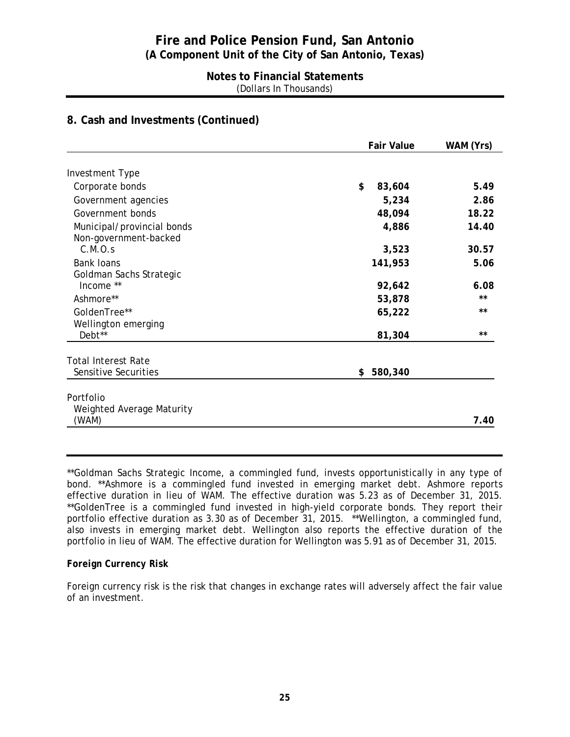### **Notes to Financial Statements** (Dollars In Thousands)

## **8. Cash and Investments (Continued)**

|                             | <b>Fair Value</b> | WAM (Yrs) |
|-----------------------------|-------------------|-----------|
|                             |                   |           |
| <b>Investment Type</b>      |                   |           |
| Corporate bonds             | \$<br>83,604      | 5.49      |
| Government agencies         | 5,234             | 2.86      |
| Government bonds            | 48,094            | 18.22     |
| Municipal/provincial bonds  | 4,886             | 14.40     |
| Non-government-backed       |                   |           |
| C.M.O.s                     | 3,523             | 30.57     |
| <b>Bank loans</b>           | 141,953           | 5.06      |
| Goldman Sachs Strategic     |                   |           |
| Income **                   | 92,642            | 6.08      |
| Ashmore**                   | 53,878            | $***$     |
| GoldenTree**                | 65,222            | $***$     |
| Wellington emerging         |                   |           |
| Debt**                      | 81,304            | $***$     |
|                             |                   |           |
| <b>Total Interest Rate</b>  |                   |           |
| <b>Sensitive Securities</b> | 580,340<br>\$     |           |
| Portfolio                   |                   |           |
| Weighted Average Maturity   |                   |           |
| (WAM)                       |                   | 7.40      |
|                             |                   |           |

\*\*Goldman Sachs Strategic Income, a commingled fund, invests opportunistically in any type of bond. \*\*Ashmore is a commingled fund invested in emerging market debt. Ashmore reports effective duration in lieu of WAM. The effective duration was 5.23 as of December 31, 2015. \*\*GoldenTree is a commingled fund invested in high-yield corporate bonds. They report their portfolio effective duration as 3.30 as of December 31, 2015. \*\*Wellington, a commingled fund, also invests in emerging market debt. Wellington also reports the effective duration of the portfolio in lieu of WAM. The effective duration for Wellington was 5.91 as of December 31, 2015.

#### *Foreign Currency Risk*

Foreign currency risk is the risk that changes in exchange rates will adversely affect the fair value of an investment.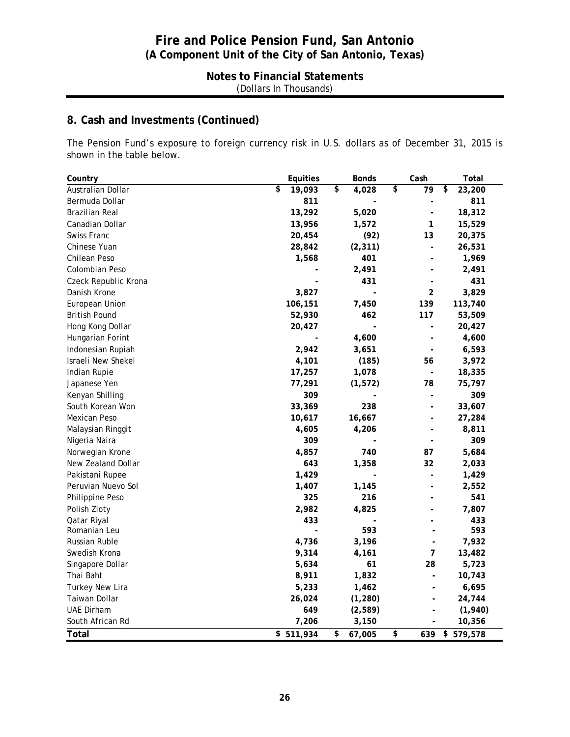## **Notes to Financial Statements** (Dollars In Thousands)

## **8. Cash and Investments (Continued)**

The Pension Fund's exposure to foreign currency risk in U.S. dollars as of December 31, 2015 is shown in the table below.

| Country               | <b>Equities</b> |                                      | <b>Bonds</b>   |                                      | Cash                     | Total                                          |  |
|-----------------------|-----------------|--------------------------------------|----------------|--------------------------------------|--------------------------|------------------------------------------------|--|
| Australian Dollar     | \$<br>19,093    | $\overline{\boldsymbol{\mathsf{s}}}$ | 4,028          | $\overline{\boldsymbol{\mathsf{s}}}$ | 79                       | $\overline{\boldsymbol{\mathsf{s}}}$<br>23,200 |  |
| Bermuda Dollar        | 811             |                                      | $\blacksquare$ |                                      | $\overline{\phantom{0}}$ | 811                                            |  |
| <b>Brazilian Real</b> | 13,292          |                                      | 5,020          |                                      | $\overline{a}$           | 18,312                                         |  |
| Canadian Dollar       | 13,956          |                                      | 1,572          |                                      | 1                        | 15,529                                         |  |
| <b>Swiss Franc</b>    | 20,454          |                                      | (92)           |                                      | 13                       | 20,375                                         |  |
| Chinese Yuan          | 28,842          |                                      | (2, 311)       |                                      | $\overline{a}$           | 26,531                                         |  |
| Chilean Peso          | 1,568           |                                      | 401            |                                      |                          | 1,969                                          |  |
| Colombian Peso        |                 |                                      | 2,491          |                                      |                          | 2,491                                          |  |
| Czeck Republic Krona  |                 |                                      | 431            |                                      | $\blacksquare$           | 431                                            |  |
| Danish Krone          | 3,827           |                                      |                |                                      | 2                        | 3,829                                          |  |
| European Union        | 106,151         |                                      | 7,450          |                                      | 139                      | 113,740                                        |  |
| British Pound         | 52,930          |                                      | 462            |                                      | 117                      | 53,509                                         |  |
| Hong Kong Dollar      | 20,427          |                                      |                |                                      | $\frac{1}{2}$            | 20,427                                         |  |
| Hungarian Forint      |                 |                                      | 4,600          |                                      |                          | 4,600                                          |  |
| Indonesian Rupiah     | 2,942           |                                      | 3,651          |                                      | $\overline{\phantom{a}}$ | 6,593                                          |  |
| Israeli New Shekel    | 4,101           |                                      | (185)          |                                      | 56                       | 3,972                                          |  |
| Indian Rupie          | 17,257          |                                      | 1,078          |                                      | $\frac{1}{2}$            | 18,335                                         |  |
| Japanese Yen          | 77,291          |                                      | (1, 572)       |                                      | 78                       | 75,797                                         |  |
| Kenyan Shilling       | 309             |                                      |                |                                      |                          | 309                                            |  |
| South Korean Won      | 33,369          |                                      | 238            |                                      |                          | 33,607                                         |  |
| Mexican Peso          | 10,617          |                                      | 16,667         |                                      |                          | 27,284                                         |  |
| Malaysian Ringgit     | 4,605           |                                      | 4,206          |                                      |                          | 8,811                                          |  |
| Nigeria Naira         | 309             |                                      |                |                                      |                          | 309                                            |  |
| Norwegian Krone       | 4,857           |                                      | 740            |                                      | 87                       | 5,684                                          |  |
| New Zealand Dollar    | 643             |                                      | 1,358          |                                      | 32                       | 2,033                                          |  |
| Pakistani Rupee       | 1,429           |                                      |                |                                      |                          | 1,429                                          |  |
| Peruvian Nuevo Sol    | 1,407           |                                      | 1,145          |                                      |                          | 2,552                                          |  |
| Philippine Peso       | 325             |                                      | 216            |                                      |                          | 541                                            |  |
| Polish Zloty          | 2,982           |                                      | 4,825          |                                      |                          | 7,807                                          |  |
| Qatar Riyal           | 433             |                                      |                |                                      |                          | 433                                            |  |
| Romanian Leu          |                 |                                      | 593            |                                      |                          | 593                                            |  |
| <b>Russian Ruble</b>  | 4,736           |                                      | 3,196          |                                      |                          | 7,932                                          |  |
| Swedish Krona         | 9,314           |                                      | 4,161          |                                      | 7                        | 13,482                                         |  |
| Singapore Dollar      | 5,634           |                                      | 61             |                                      | 28                       | 5,723                                          |  |
| Thai Baht             | 8,911           |                                      | 1,832          |                                      | $\blacksquare$           | 10,743                                         |  |
| Turkey New Lira       | 5,233           |                                      | 1,462          |                                      |                          | 6,695                                          |  |
| Taiwan Dollar         | 26,024          |                                      | (1, 280)       |                                      |                          | 24,744                                         |  |
| <b>UAE Dirham</b>     | 649             |                                      | (2, 589)       |                                      |                          | (1,940)                                        |  |
| South African Rd      | 7,206           |                                      | 3,150          |                                      | $\overline{a}$           | 10,356                                         |  |
| <b>Total</b>          | \$<br>511,934   | $\overline{\boldsymbol{\epsilon}}$   | 67,005         | $\overline{\boldsymbol{\epsilon}}$   | 639                      | \$<br>579,578                                  |  |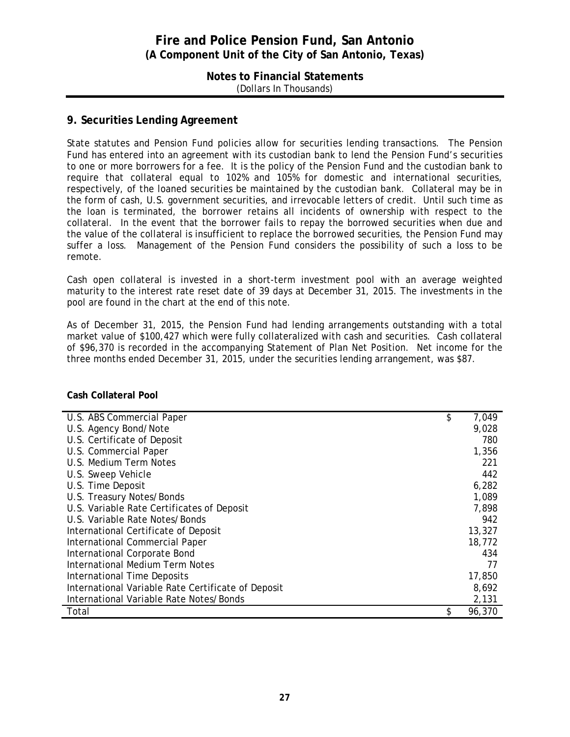### **Notes to Financial Statements** (Dollars In Thousands)

### **9. Securities Lending Agreement**

State statutes and Pension Fund policies allow for securities lending transactions. The Pension Fund has entered into an agreement with its custodian bank to lend the Pension Fund's securities to one or more borrowers for a fee. It is the policy of the Pension Fund and the custodian bank to require that collateral equal to 102% and 105% for domestic and international securities, respectively, of the loaned securities be maintained by the custodian bank. Collateral may be in the form of cash, U.S. government securities, and irrevocable letters of credit. Until such time as the loan is terminated, the borrower retains all incidents of ownership with respect to the collateral. In the event that the borrower fails to repay the borrowed securities when due and the value of the collateral is insufficient to replace the borrowed securities, the Pension Fund may suffer a loss. Management of the Pension Fund considers the possibility of such a loss to be remote.

Cash open collateral is invested in a short-term investment pool with an average weighted maturity to the interest rate reset date of 39 days at December 31, 2015. The investments in the pool are found in the chart at the end of this note.

As of December 31, 2015, the Pension Fund had lending arrangements outstanding with a total market value of \$100,427 which were fully collateralized with cash and securities. Cash collateral of \$96,370 is recorded in the accompanying Statement of Plan Net Position. Net income for the three months ended December 31, 2015, under the securities lending arrangement, was \$87.

#### **Cash Collateral Pool**

| U.S. ABS Commercial Paper                          | \$<br>7,049  |
|----------------------------------------------------|--------------|
| U.S. Agency Bond/Note                              | 9,028        |
| U.S. Certificate of Deposit                        | 780          |
| U.S. Commercial Paper                              | 1,356        |
| U.S. Medium Term Notes                             | 221          |
| U.S. Sweep Vehicle                                 | 442          |
| U.S. Time Deposit                                  | 6,282        |
| U.S. Treasury Notes/Bonds                          | 1,089        |
| U.S. Variable Rate Certificates of Deposit         | 7,898        |
| U.S. Variable Rate Notes/Bonds                     | 942          |
| International Certificate of Deposit               | 13,327       |
| International Commercial Paper                     | 18,772       |
| International Corporate Bond                       | 434          |
| International Medium Term Notes                    | 77           |
| <b>International Time Deposits</b>                 | 17,850       |
| International Variable Rate Certificate of Deposit | 8,692        |
| International Variable Rate Notes/Bonds            | 2,131        |
| Total                                              | \$<br>96,370 |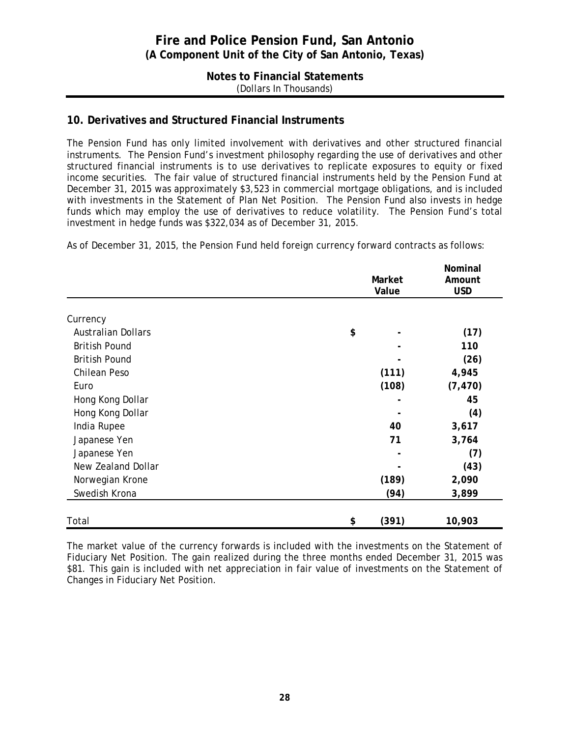### **Notes to Financial Statements** (Dollars In Thousands)

## **10. Derivatives and Structured Financial Instruments**

The Pension Fund has only limited involvement with derivatives and other structured financial instruments. The Pension Fund's investment philosophy regarding the use of derivatives and other structured financial instruments is to use derivatives to replicate exposures to equity or fixed income securities. The fair value of structured financial instruments held by the Pension Fund at December 31, 2015 was approximately \$3,523 in commercial mortgage obligations, and is included with investments in the Statement of Plan Net Position. The Pension Fund also invests in hedge funds which may employ the use of derivatives to reduce volatility. The Pension Fund's total investment in hedge funds was \$322,034 as of December 31, 2015.

As of December 31, 2015, the Pension Fund held foreign currency forward contracts as follows:

|                           | <b>Market</b><br>Value |          |
|---------------------------|------------------------|----------|
| Currency                  |                        |          |
| <b>Australian Dollars</b> | \$                     | (17)     |
| <b>British Pound</b>      |                        | 110      |
| <b>British Pound</b>      |                        | (26)     |
| Chilean Peso              | (111)                  | 4,945    |
| Euro                      | (108)                  | (7, 470) |
| Hong Kong Dollar          |                        | 45       |
| Hong Kong Dollar          |                        | (4)      |
| India Rupee               | 40                     | 3,617    |
| Japanese Yen              | 71                     | 3,764    |
| Japanese Yen              |                        | (7)      |
| New Zealand Dollar        |                        | (43)     |
| Norwegian Krone           | (189)                  | 2,090    |
| Swedish Krona             | (94)                   | 3,899    |
| Total                     | \$<br>(391)            | 10,903   |

The market value of the currency forwards is included with the investments on the Statement of Fiduciary Net Position. The gain realized during the three months ended December 31, 2015 was \$81. This gain is included with net appreciation in fair value of investments on the Statement of Changes in Fiduciary Net Position.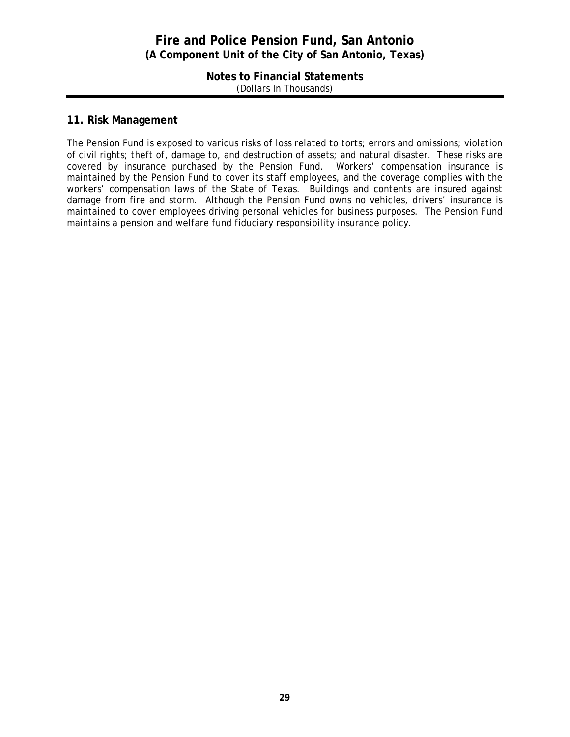### **Notes to Financial Statements** (Dollars In Thousands)

## **11. Risk Management**

The Pension Fund is exposed to various risks of loss related to torts; errors and omissions; violation of civil rights; theft of, damage to, and destruction of assets; and natural disaster. These risks are covered by insurance purchased by the Pension Fund. Workers' compensation insurance is maintained by the Pension Fund to cover its staff employees, and the coverage complies with the workers' compensation laws of the State of Texas. Buildings and contents are insured against damage from fire and storm. Although the Pension Fund owns no vehicles, drivers' insurance is maintained to cover employees driving personal vehicles for business purposes. The Pension Fund maintains a pension and welfare fund fiduciary responsibility insurance policy.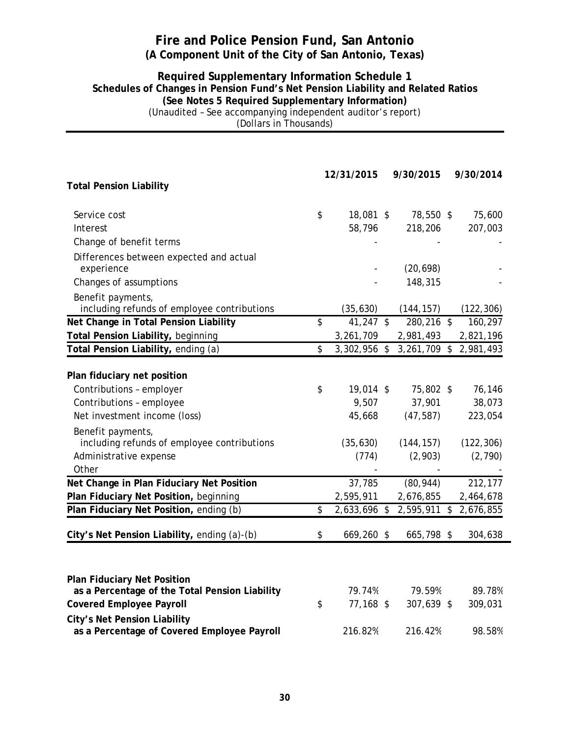#### **Required Supplementary Information Schedule 1 Schedules of Changes in Pension Fund's Net Pension Liability and Related Ratios (See Notes 5 Required Supplementary Information)** (Unaudited – See accompanying independent auditor's report) (Dollars in Thousands)

|                                                                                                                                                                                         | 12/31/2015                                      | 9/30/2015                                      | 9/30/2014                                 |
|-----------------------------------------------------------------------------------------------------------------------------------------------------------------------------------------|-------------------------------------------------|------------------------------------------------|-------------------------------------------|
| <b>Total Pension Liability</b>                                                                                                                                                          |                                                 |                                                |                                           |
| Service cost                                                                                                                                                                            | \$<br>18,081 \$                                 | 78,550 \$                                      | 75,600                                    |
| Interest                                                                                                                                                                                | 58,796                                          | 218,206                                        | 207,003                                   |
| Change of benefit terms                                                                                                                                                                 |                                                 |                                                |                                           |
| Differences between expected and actual<br>experience                                                                                                                                   |                                                 | (20, 698)                                      |                                           |
| Changes of assumptions                                                                                                                                                                  |                                                 | 148,315                                        |                                           |
| Benefit payments,<br>including refunds of employee contributions                                                                                                                        | (35, 630)                                       | (144, 157)                                     | (122, 306)                                |
| Net Change in Total Pension Liability                                                                                                                                                   | \$<br>41,247 \$                                 | 280,216 \$                                     | 160,297                                   |
| Total Pension Liability, beginning                                                                                                                                                      | 3,261,709                                       | 2,981,493                                      | 2,821,196                                 |
| Total Pension Liability, ending (a)                                                                                                                                                     | \$<br>3,302,956 \$                              | 3,261,709 \$                                   | 2,981,493                                 |
| Plan fiduciary net position<br>Contributions - employer<br>Contributions - employee<br>Net investment income (loss)<br>Benefit payments,<br>including refunds of employee contributions | \$<br>19,014 \$<br>9,507<br>45,668<br>(35, 630) | 75,802 \$<br>37,901<br>(47, 587)<br>(144, 157) | 76,146<br>38,073<br>223,054<br>(122, 306) |
| Administrative expense                                                                                                                                                                  | (774)                                           | (2,903)                                        | (2,790)                                   |
| Other                                                                                                                                                                                   |                                                 |                                                |                                           |
| Net Change in Plan Fiduciary Net Position                                                                                                                                               | 37,785                                          | (80, 944)                                      | 212,177                                   |
| Plan Fiduciary Net Position, beginning                                                                                                                                                  | 2,595,911                                       | 2,676,855                                      | 2,464,678                                 |
| Plan Fiduciary Net Position, ending (b)                                                                                                                                                 | \$<br>2,633,696 \$                              | 2,595,911 \$                                   | 2,676,855                                 |
| City's Net Pension Liability, ending (a)-(b)                                                                                                                                            | \$<br>669,260 \$                                | 665,798 \$                                     | 304,638                                   |
| <b>Plan Fiduciary Net Position</b><br>as a Percentage of the Total Pension Liability<br><b>Covered Employee Payroll</b><br><b>City's Net Pension Liability</b>                          | \$<br>79.74%<br>77,168 \$                       | 79.59%<br>307,639 \$                           | 89.78%<br>309,031                         |
| as a Percentage of Covered Employee Payroll                                                                                                                                             | 216.82%                                         | 216.42%                                        | 98.58%                                    |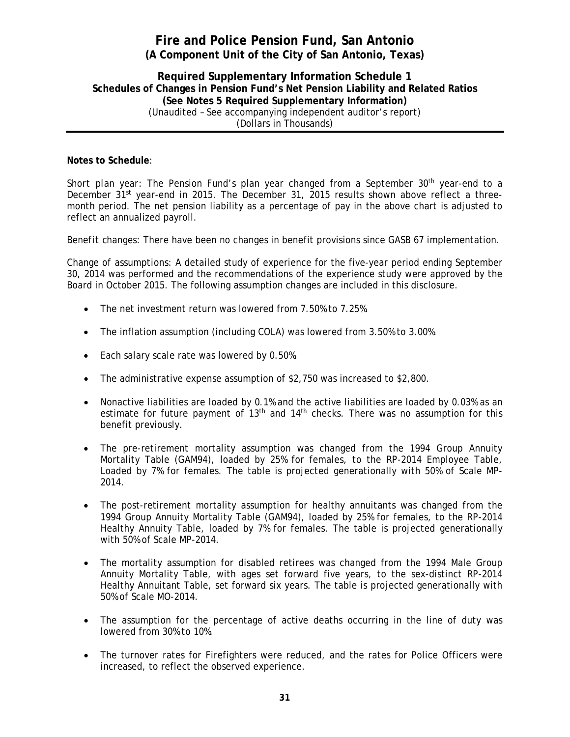### **Required Supplementary Information Schedule 1 Schedules of Changes in Pension Fund's Net Pension Liability and Related Ratios (See Notes 5 Required Supplementary Information)** (Unaudited – See accompanying independent auditor's report) (Dollars in Thousands)

#### **Notes to Schedule**:

*Short plan year:* The Pension Fund's plan year changed from a September 30<sup>th</sup> year-end to a December 31<sup>st</sup> year-end in 2015. The December 31, 2015 results shown above reflect a threemonth period. The net pension liability as a percentage of pay in the above chart is adjusted to reflect an annualized payroll.

*Benefit changes:* There have been no changes in benefit provisions since GASB 67 implementation.

*Change of assumptions:* A detailed study of experience for the five-year period ending September 30, 2014 was performed and the recommendations of the experience study were approved by the Board in October 2015. The following assumption changes are included in this disclosure.

- The net investment return was lowered from 7.50% to 7.25%.
- The inflation assumption (including COLA) was lowered from 3.50% to 3.00%.
- Each salary scale rate was lowered by 0.50%.
- The administrative expense assumption of \$2,750 was increased to \$2,800.
- Nonactive liabilities are loaded by 0.1% and the active liabilities are loaded by 0.03% as an estimate for future payment of  $13<sup>th</sup>$  and  $14<sup>th</sup>$  checks. There was no assumption for this benefit previously.
- The pre-retirement mortality assumption was changed from the 1994 Group Annuity Mortality Table (GAM94), loaded by 25% for females, to the RP-2014 Employee Table, Loaded by 7% for females. The table is projected generationally with 50% of Scale MP-2014.
- The post-retirement mortality assumption for healthy annuitants was changed from the 1994 Group Annuity Mortality Table (GAM94), loaded by 25% for females, to the RP-2014 Healthy Annuity Table, loaded by 7% for females. The table is projected generationally with 50% of Scale MP-2014.
- The mortality assumption for disabled retirees was changed from the 1994 Male Group Annuity Mortality Table, with ages set forward five years, to the sex-distinct RP-2014 Healthy Annuitant Table, set forward six years. The table is projected generationally with 50% of Scale MO-2014.
- The assumption for the percentage of active deaths occurring in the line of duty was lowered from 30% to 10%.
- The turnover rates for Firefighters were reduced, and the rates for Police Officers were increased, to reflect the observed experience.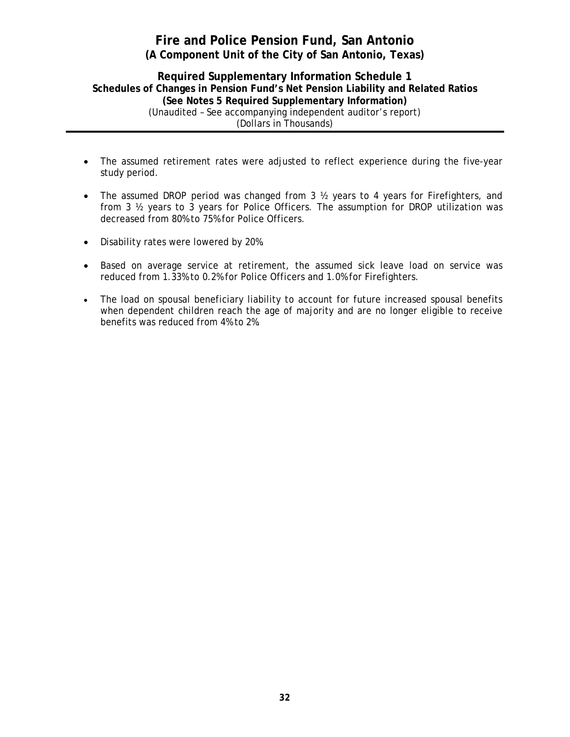### **Required Supplementary Information Schedule 1 Schedules of Changes in Pension Fund's Net Pension Liability and Related Ratios (See Notes 5 Required Supplementary Information)** (Unaudited – See accompanying independent auditor's report) (Dollars in Thousands)

- The assumed retirement rates were adjusted to reflect experience during the five-year study period.
- The assumed DROP period was changed from 3  $\frac{1}{2}$  years to 4 years for Firefighters, and from 3 ½ years to 3 years for Police Officers. The assumption for DROP utilization was decreased from 80% to 75% for Police Officers.
- Disability rates were lowered by 20%.
- Based on average service at retirement, the assumed sick leave load on service was reduced from 1.33% to 0.2% for Police Officers and 1.0% for Firefighters.
- The load on spousal beneficiary liability to account for future increased spousal benefits when dependent children reach the age of majority and are no longer eligible to receive benefits was reduced from 4% to 2%.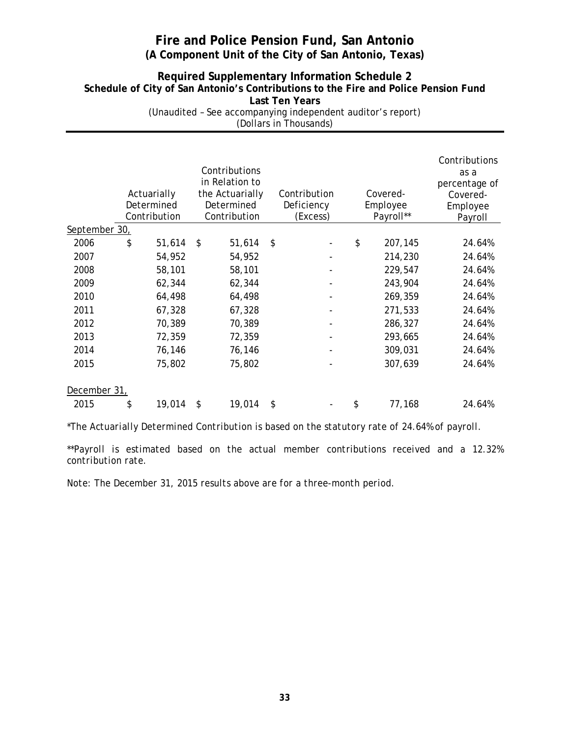#### **Required Supplementary Information Schedule 2 Schedule of City of San Antonio's Contributions to the Fire and Police Pension Fund Last Ten Years** (Unaudited – See accompanying independent auditor's report) (Dollars in Thousands)

**Actuarially** Determined Contribution **Contributions** in Relation to the Actuarially Determined Contribution Contribution Deficiency (Excess) Covered-Employee Payroll\*\* **Contributions** as a percentage of Covered-Employee Payroll September 30, 2006 \$ 51,614 \$ 51,614 \$ - \$ 207,145 24.64% 2007 54,952 54,952 - 214,230 24.64% 2008 58,101 58,101 58,101 - 229,547 24.64% 2009 62,344 62,344 - 243,904 24.64% 2010 64,498 64,498 **64,498 64,498 64,498 64,498 64,498** 64,498 **2**4.64% 2011 67,328 67,328 - 271,533 24.64% 2012 70,389 70,389 - 286,327 24.64% 2013 72,359 72,359 - 293,665 24.64% 2014 76,146 76,146 - 309,031 24.64% 2015 75,802 75,802 75,802 - 307,639 24.64% December 31, 2015 \$ 19,014 \$ 19,014 \$ - \$ 77,168 24.64%

\**The Actuarially Determined Contribution is based on the statutory rate of 24.64% of payroll.*

*\*\*Payroll is estimated based on the actual member contributions received and a 12.32% contribution rate.*

*Note: The December 31, 2015 results above are for a three-month period.*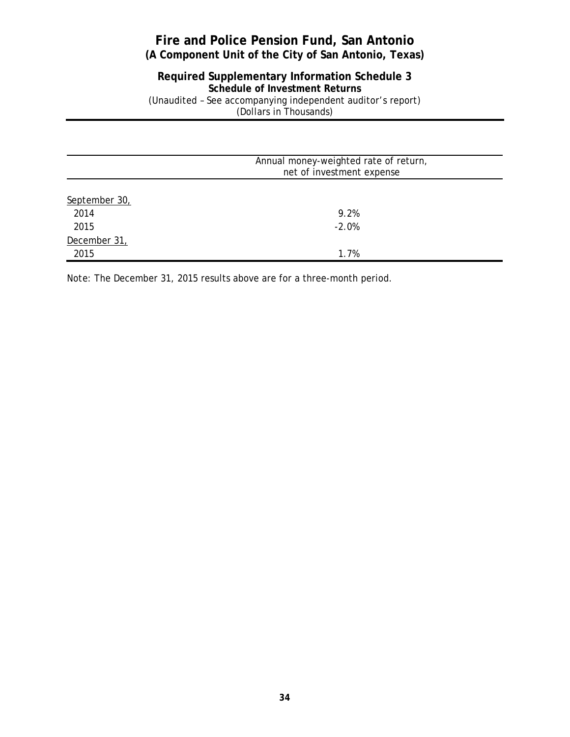### **Required Supplementary Information Schedule 3 Schedule of Investment Returns** (Unaudited – See accompanying independent auditor's report) (Dollars in Thousands)

|               | Annual money-weighted rate of return,<br>net of investment expense |  |
|---------------|--------------------------------------------------------------------|--|
| September 30, |                                                                    |  |
| 2014          | 9.2%                                                               |  |
| 2015          | $-2.0%$                                                            |  |
| December 31,  |                                                                    |  |
| 2015          | 1.7%                                                               |  |

*Note:* The December 31, 2015 results above are for a three-month period.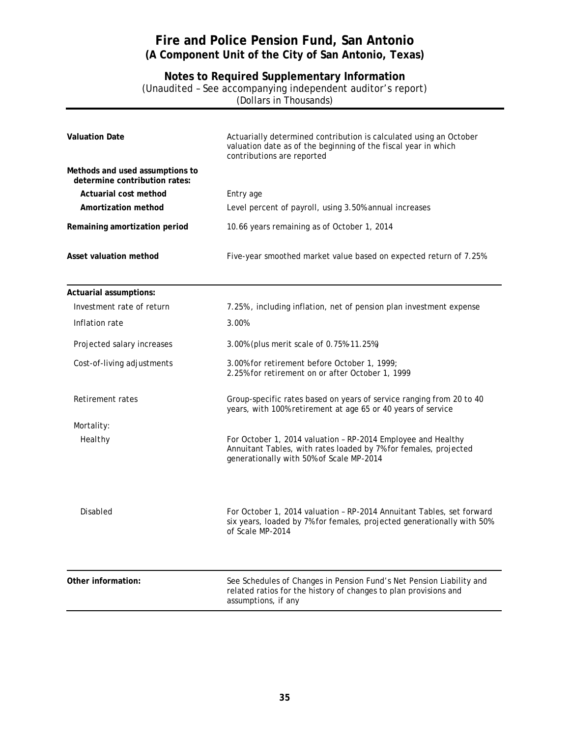**Notes to Required Supplementary Information** (Unaudited – See accompanying independent auditor's report) (Dollars in Thousands)

| <b>Valuation Date</b>                                            | Actuarially determined contribution is calculated using an October<br>valuation date as of the beginning of the fiscal year in which<br>contributions are reported           |
|------------------------------------------------------------------|------------------------------------------------------------------------------------------------------------------------------------------------------------------------------|
| Methods and used assumptions to<br>determine contribution rates: |                                                                                                                                                                              |
| Actuarial cost method                                            | Entry age                                                                                                                                                                    |
| Amortization method                                              | Level percent of payroll, using 3.50% annual increases                                                                                                                       |
| Remaining amortization period                                    | 10.66 years remaining as of October 1, 2014                                                                                                                                  |
| Asset valuation method                                           | Five-year smoothed market value based on expected return of 7.25%                                                                                                            |
| Actuarial assumptions:                                           |                                                                                                                                                                              |
| Investment rate of return                                        | 7.25%, including inflation, net of pension plan investment expense                                                                                                           |
| Inflation rate                                                   | 3.00%                                                                                                                                                                        |
| Projected salary increases                                       | 3.00% (plus merit scale of 0.75%-11.25%)                                                                                                                                     |
| Cost-of-living adjustments                                       | 3.00% for retirement before October 1, 1999;<br>2.25% for retirement on or after October 1, 1999                                                                             |
| Retirement rates                                                 | Group-specific rates based on years of service ranging from 20 to 40<br>years, with 100% retirement at age 65 or 40 years of service                                         |
| Mortality:                                                       |                                                                                                                                                                              |
| Healthy                                                          | For October 1, 2014 valuation - RP-2014 Employee and Healthy<br>Annuitant Tables, with rates loaded by 7% for females, projected<br>generationally with 50% of Scale MP-2014 |
| Disabled                                                         | For October 1, 2014 valuation - RP-2014 Annuitant Tables, set forward<br>six years, loaded by 7% for females, projected generationally with 50%<br>of Scale MP-2014          |
| Other information:                                               | See Schedules of Changes in Pension Fund's Net Pension Liability and<br>related ratios for the history of changes to plan provisions and<br>assumptions, if any              |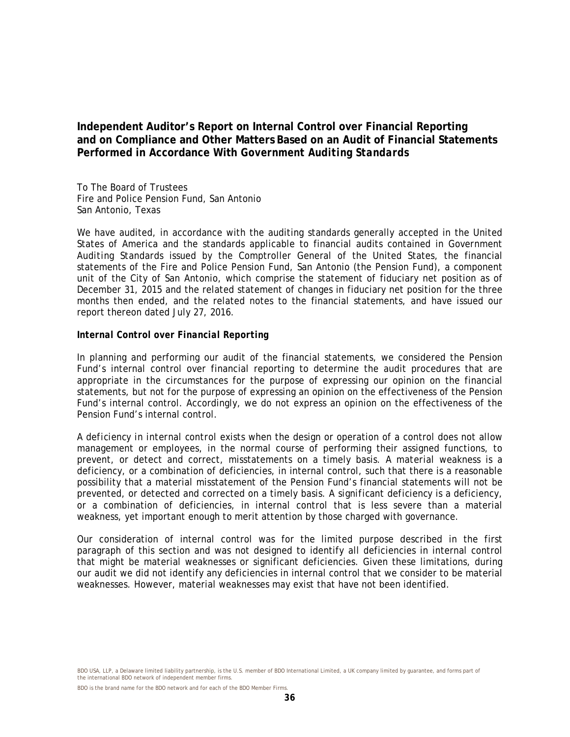**Independent Auditor's Report on Internal Control over Financial Reporting and on Compliance and Other Matters Based on an Audit of Financial Statements Performed in Accordance With** *Government Auditing Standards*

To The Board of Trustees Fire and Police Pension Fund, San Antonio San Antonio, Texas

We have audited, in accordance with the auditing standards generally accepted in the United States of America and the standards applicable to financial audits contained in *Government Auditing Standards* issued by the Comptroller General of the United States, the financial statements of the Fire and Police Pension Fund, San Antonio (the Pension Fund), a component unit of the City of San Antonio, which comprise the statement of fiduciary net position as of December 31, 2015 and the related statement of changes in fiduciary net position for the three months then ended, and the related notes to the financial statements, and have issued our report thereon dated July 27, 2016.

#### *Internal Control over Financial Reporting*

In planning and performing our audit of the financial statements, we considered the Pension Fund's internal control over financial reporting to determine the audit procedures that are appropriate in the circumstances for the purpose of expressing our opinion on the financial statements, but not for the purpose of expressing an opinion on the effectiveness of the Pension Fund's internal control. Accordingly, we do not express an opinion on the effectiveness of the Pension Fund's internal control.

A *deficiency in internal control* exists when the design or operation of a control does not allow management or employees, in the normal course of performing their assigned functions, to prevent, or detect and correct, misstatements on a timely basis. A *material weakness* is a deficiency, or a combination of deficiencies, in internal control, such that there is a reasonable possibility that a material misstatement of the Pension Fund's financial statements will not be prevented, or detected and corrected on a timely basis*. A significant deficiency* is a deficiency, or a combination of deficiencies, in internal control that is less severe than a material weakness, yet important enough to merit attention by those charged with governance.

Our consideration of internal control was for the limited purpose described in the first paragraph of this section and was not designed to identify all deficiencies in internal control that might be material weaknesses or significant deficiencies. Given these limitations, during our audit we did not identify any deficiencies in internal control that we consider to be material weaknesses. However, material weaknesses may exist that have not been identified.

BDO USA, LLP, a Delaware limited liability partnership, is the U.S. member of BDO International Limited, a UK company limited by guarantee, and forms part of the international BDO network of independent member firms.